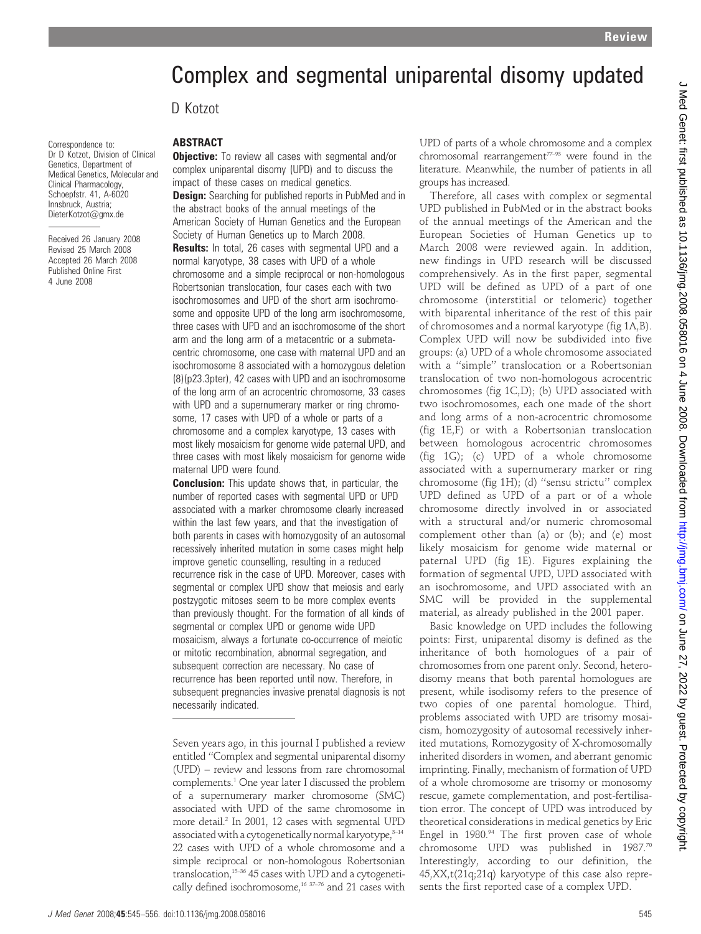# Complex and segmental uniparental disomy updated

D Kotzot

#### Correspondence to: Dr D Kotzot, Division of Clinical Genetics, Department of Medical Genetics, Molecular and Clinical Pharmacology, Schoepfstr. 41, A-6020 Innsbruck, Austria;

Received 26 January 2008 Revised 25 March 2008 Accepted 26 March 2008 Published Online First 4 June 2008

DieterKotzot@gmx.de

# **ABSTRACT**

**Objective:** To review all cases with segmental and/or complex uniparental disomy (UPD) and to discuss the impact of these cases on medical genetics. **Design:** Searching for published reports in PubMed and in the abstract books of the annual meetings of the American Society of Human Genetics and the European Society of Human Genetics up to March 2008. **Results:** In total, 26 cases with segmental UPD and a normal karyotype, 38 cases with UPD of a whole chromosome and a simple reciprocal or non-homologous Robertsonian translocation, four cases each with two isochromosomes and UPD of the short arm isochromosome and opposite UPD of the long arm isochromosome, three cases with UPD and an isochromosome of the short arm and the long arm of a metacentric or a submetacentric chromosome, one case with maternal UPD and an isochromosome 8 associated with a homozygous deletion (8)(p23.3pter), 42 cases with UPD and an isochromosome of the long arm of an acrocentric chromosome, 33 cases with UPD and a supernumerary marker or ring chromosome, 17 cases with UPD of a whole or parts of a chromosome and a complex karyotype, 13 cases with most likely mosaicism for genome wide paternal UPD, and three cases with most likely mosaicism for genome wide maternal UPD were found.

**Conclusion:** This update shows that, in particular, the number of reported cases with segmental UPD or UPD associated with a marker chromosome clearly increased within the last few years, and that the investigation of both parents in cases with homozygosity of an autosomal recessively inherited mutation in some cases might help improve genetic counselling, resulting in a reduced recurrence risk in the case of UPD. Moreover, cases with segmental or complex UPD show that meiosis and early postzygotic mitoses seem to be more complex events than previously thought. For the formation of all kinds of segmental or complex UPD or genome wide UPD mosaicism, always a fortunate co-occurrence of meiotic or mitotic recombination, abnormal segregation, and subsequent correction are necessary. No case of recurrence has been reported until now. Therefore, in subsequent pregnancies invasive prenatal diagnosis is not necessarily indicated.

Seven years ago, in this journal I published a review entitled ''Complex and segmental uniparental disomy (UPD) – review and lessons from rare chromosomal complements.1 One year later I discussed the problem of a supernumerary marker chromosome (SMC) associated with UPD of the same chromosome in more detail.<sup>2</sup> In 2001, 12 cases with segmental UPD associated with a cytogenetically normal karyotype,  $3-14$ 22 cases with UPD of a whole chromosome and a simple reciprocal or non-homologous Robertsonian translocation,15–36 45 cases with UPD and a cytogenetically defined isochromosome, $16$   $37-76$  and 21 cases with UPD of parts of a whole chromosome and a complex chromosomal rearrangement $77-93$  were found in the literature. Meanwhile, the number of patients in all groups has increased.

Therefore, all cases with complex or segmental UPD published in PubMed or in the abstract books of the annual meetings of the American and the European Societies of Human Genetics up to March 2008 were reviewed again. In addition, new findings in UPD research will be discussed comprehensively. As in the first paper, segmental UPD will be defined as UPD of a part of one chromosome (interstitial or telomeric) together with biparental inheritance of the rest of this pair of chromosomes and a normal karyotype (fig 1A,B). Complex UPD will now be subdivided into five groups: (a) UPD of a whole chromosome associated with a ''simple'' translocation or a Robertsonian translocation of two non-homologous acrocentric chromosomes (fig 1C,D); (b) UPD associated with two isochromosomes, each one made of the short and long arms of a non-acrocentric chromosome (fig 1E,F) or with a Robertsonian translocation between homologous acrocentric chromosomes (fig 1G); (c) UPD of a whole chromosome associated with a supernumerary marker or ring chromosome (fig 1H); (d) ''sensu strictu'' complex UPD defined as UPD of a part or of a whole chromosome directly involved in or associated with a structural and/or numeric chromosomal complement other than (a) or (b); and (e) most likely mosaicism for genome wide maternal or paternal UPD (fig 1E). Figures explaining the formation of segmental UPD, UPD associated with an isochromosome, and UPD associated with an SMC will be provided in the supplemental material, as already published in the 2001 paper.

Basic knowledge on UPD includes the following points: First, uniparental disomy is defined as the inheritance of both homologues of a pair of chromosomes from one parent only. Second, heterodisomy means that both parental homologues are present, while isodisomy refers to the presence of two copies of one parental homologue. Third, problems associated with UPD are trisomy mosaicism, homozygosity of autosomal recessively inherited mutations, Romozygosity of X-chromosomally inherited disorders in women, and aberrant genomic imprinting. Finally, mechanism of formation of UPD of a whole chromosome are trisomy or monosomy rescue, gamete complementation, and post-fertilisation error. The concept of UPD was introduced by theoretical considerations in medical genetics by Eric Engel in 1980.<sup>94</sup> The first proven case of whole chromosome UPD was published in 1987.70 Interestingly, according to our definition, the 45,XX,t(21q;21q) karyotype of this case also represents the first reported case of a complex UPD.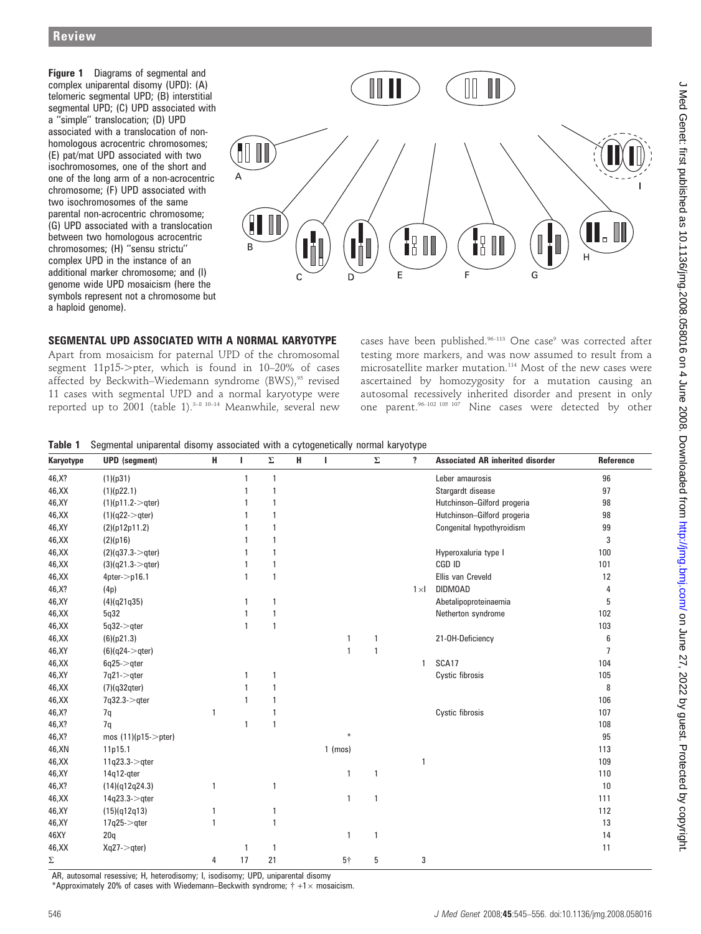Figure 1 Diagrams of segmental and complex uniparental disomy (UPD): (A) telomeric segmental UPD; (B) interstitial segmental UPD; (C) UPD associated with a ''simple'' translocation; (D) UPD associated with a translocation of nonhomologous acrocentric chromosomes; (E) pat/mat UPD associated with two isochromosomes, one of the short and one of the long arm of a non-acrocentric chromosome; (F) UPD associated with two isochromosomes of the same parental non-acrocentric chromosome; (G) UPD associated with a translocation between two homologous acrocentric chromosomes; (H) ''sensu strictu'' complex UPD in the instance of an additional marker chromosome; and (I) genome wide UPD mosaicism (here the symbols represent not a chromosome but a haploid genome).



#### SEGMENTAL UPD ASSOCIATED WITH A NORMAL KARYOTYPE

Apart from mosaicism for paternal UPD of the chromosomal segment  $11p15$ ->pter, which is found in  $10-20%$  of cases affected by Beckwith–Wiedemann syndrome (BWS),<sup>95</sup> revised 11 cases with segmental UPD and a normal karyotype were reported up to 2001 (table 1).<sup>3–8 10–14</sup> Meanwhile, several new cases have been published.<sup>96-113</sup> One case<sup>9</sup> was corrected after testing more markers, and was now assumed to result from a microsatellite marker mutation.<sup>114</sup> Most of the new cases were ascertained by homozygosity for a mutation causing an autosomal recessively inherited disorder and present in only one parent.96–102 105 107 Nine cases were detected by other

Table 1 Segmental uniparental disomy associated with a cytogenetically normal karyotype

| Karyotype | <b>UPD</b> (segment)  | н | L            | $\Sigma$       | н | I.                | Σ            | ?            | <b>Associated AR inherited disorder</b> | Reference |
|-----------|-----------------------|---|--------------|----------------|---|-------------------|--------------|--------------|-----------------------------------------|-----------|
| 46, X?    | (1)(p31)              |   |              | $\mathbf{1}$   |   |                   |              |              | Leber amaurosis                         | 96        |
| 46, XX    | (1)(p22.1)            |   |              | $\mathbf{1}$   |   |                   |              |              | Stargardt disease                       | 97        |
| 46, XY    | (1)(p11.2 > qter)     |   |              | 1              |   |                   |              |              | Hutchinson-Gilford progeria             | 98        |
| 46, XX    | (1)(q22 > qter)       |   |              | 1              |   |                   |              |              | Hutchinson-Gilford progeria             | 98        |
| 46, XY    | (2)(p12p11.2)         |   |              | 1              |   |                   |              |              | Congenital hypothyroidism               | 99        |
| 46, XX    | (2)(p16)              |   |              |                |   |                   |              |              |                                         | 3         |
| 46, XX    | $(2)(q37.3 - > qter)$ |   |              | $\mathbf{1}$   |   |                   |              |              | Hyperoxaluria type I                    | 100       |
| 46, XX    | $(3)(q21.3 - > qter)$ |   |              | 1              |   |                   |              |              | CGD ID                                  | 101       |
| 46, XX    | $4pter$ ->p16.1       |   |              | $\mathbf{1}$   |   |                   |              |              | Ellis van Creveld                       | 12        |
| 46, X?    | (4p)                  |   |              |                |   |                   |              | $1 \times$   | <b>DIDMOAD</b>                          | 4         |
| 46, XY    | (4)(q21q35)           |   | 1            | 1              |   |                   |              |              | Abetalipoproteinaemia                   | 5         |
| 46, XX    | 5q32                  |   |              | 1              |   |                   |              |              | Netherton syndrome                      | 102       |
| 46, XX    | $5q32$ - $>$ qter     |   |              | $\overline{1}$ |   |                   |              |              |                                         | 103       |
| 46, XX    | (6)(p21.3)            |   |              |                |   |                   | 1            |              | 21-OH-Deficiency                        | 6         |
| 46, XY    | $(6)(q24 - > qter)$   |   |              |                |   | 1                 | $\mathbf{1}$ |              |                                         | 7         |
| 46, XX    | $6q25$ - $>$ qter     |   |              |                |   |                   |              | $\mathbf{1}$ | SCA17                                   | 104       |
| 46, XY    | $7q21$ - $>$ qter     |   | $\mathbf{1}$ | $\mathbf{1}$   |   |                   |              |              | Cystic fibrosis                         | 105       |
| 46, XX    | (7)(q32qter)          |   |              |                |   |                   |              |              |                                         | 8         |
| 46, XX    | $7q32.3$ - $>$ qter   |   |              |                |   |                   |              |              |                                         | 106       |
| 46, X?    | 7q                    | 1 |              | 1              |   |                   |              |              | Cystic fibrosis                         | 107       |
| 46, X?    | 7q                    |   | $\mathbf{1}$ | 1              |   |                   |              |              |                                         | 108       |
| 46, X?    | mos $(11)(p15->pter)$ |   |              |                |   |                   |              |              |                                         | 95        |
| 46, XN    | 11p15.1               |   |              |                |   | $1 \text{ (mos)}$ |              |              |                                         | 113       |
| 46, XX    | $11q23.3$ - $>$ qter  |   |              |                |   |                   |              | $\mathbf{1}$ |                                         | 109       |
| 46, XY    | 14q12-gter            |   |              |                |   | 1                 | 1            |              |                                         | 110       |
| 46, X?    | (14)(q12q24.3)        |   |              | $\mathbf{1}$   |   |                   |              |              |                                         | 10        |
| 46, XX    | $14q23.3$ - $>$ qter  |   |              |                |   | 1                 | $\mathbf{1}$ |              |                                         | 111       |
| 46, XY    | (15)(q12q13)          |   |              | 1              |   |                   |              |              |                                         | 112       |
| 46, XY    | $17q25$ - $>$ qter    |   |              |                |   |                   |              |              |                                         | 13        |
| 46XY      | 20q                   |   |              |                |   | 1                 | 1            |              |                                         | 14        |
| 46, XX    | $Xq27$ - $>$ qter)    |   |              | $\mathbf{1}$   |   |                   |              |              |                                         | 11        |
| Σ         |                       | 4 | 17           | 21             |   | $5+$              | 5            | 3            |                                         |           |

AR, autosomal resessive; H, heterodisomy; I, isodisomy; UPD, uniparental disomy

\*Approximately 20% of cases with Wiedemann–Beckwith syndrome;  $\dagger +1 \times$  mosaicism.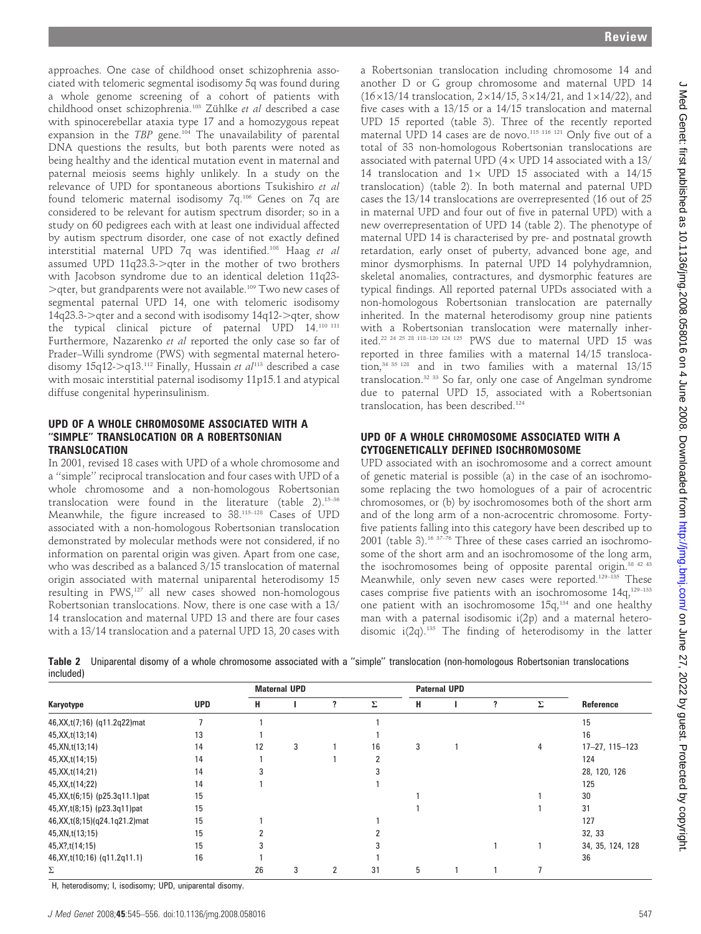approaches. One case of childhood onset schizophrenia associated with telomeric segmental isodisomy 5q was found during a whole genome screening of a cohort of patients with childhood onset schizophrenia.<sup>103</sup> Zühlke et al described a case with spinocerebellar ataxia type 17 and a homozygous repeat expansion in the  $TBP$  gene.<sup>104</sup> The unavailability of parental DNA questions the results, but both parents were noted as being healthy and the identical mutation event in maternal and paternal meiosis seems highly unlikely. In a study on the relevance of UPD for spontaneous abortions Tsukishiro et al found telomeric maternal isodisomy 7q.106 Genes on 7q are considered to be relevant for autism spectrum disorder; so in a study on 60 pedigrees each with at least one individual affected by autism spectrum disorder, one case of not exactly defined interstitial maternal UPD 7q was identified.108 Haag et al assumed UPD 11q23.3->qter in the mother of two brothers with Jacobson syndrome due to an identical deletion 11q23- >qter, but grandparents were not available.<sup>109</sup> Two new cases of segmental paternal UPD 14, one with telomeric isodisomy 14q23.3->qter and a second with isodisomy  $14q12$ ->qter, show the typical clinical picture of paternal UPD 14.110 111 Furthermore, Nazarenko et al reported the only case so far of Prader–Willi syndrome (PWS) with segmental maternal heterodisomy  $15q12 q13.112$  Finally, Hussain *et al*<sup>113</sup> described a case with mosaic interstitial paternal isodisomy 11p15.1 and atypical diffuse congenital hyperinsulinism.

#### UPD OF A WHOLE CHROMOSOME ASSOCIATED WITH A ''SIMPLE'' TRANSLOCATION OR A ROBERTSONIAN **TRANSLOCATION**

In 2001, revised 18 cases with UPD of a whole chromosome and a ''simple'' reciprocal translocation and four cases with UPD of a whole chromosome and a non-homologous Robertsonian translocation were found in the literature (table 2).15–36 Meanwhile, the figure increased to 38.115–128 Cases of UPD associated with a non-homologous Robertsonian translocation demonstrated by molecular methods were not considered, if no information on parental origin was given. Apart from one case, who was described as a balanced 3/15 translocation of maternal origin associated with maternal uniparental heterodisomy 15 resulting in PWS,127 all new cases showed non-homologous Robertsonian translocations. Now, there is one case with a 13/ 14 translocation and maternal UPD 13 and there are four cases with a 13/14 translocation and a paternal UPD 13, 20 cases with

a Robertsonian translocation including chromosome 14 and another D or G group chromosome and maternal UPD 14  $(16\times13/14$  translocation,  $2\times14/15$ ,  $3\times14/21$ , and  $1\times14/22$ ), and five cases with a 13/15 or a 14/15 translocation and maternal UPD 15 reported (table 3). Three of the recently reported maternal UPD 14 cases are de novo.<sup>115 116 121</sup> Only five out of a total of 33 non-homologous Robertsonian translocations are associated with paternal UPD ( $4 \times$  UPD 14 associated with a 13/ 14 translocation and  $1 \times$  UPD 15 associated with a 14/15 translocation) (table 2). In both maternal and paternal UPD cases the 13/14 translocations are overrepresented (16 out of 25 in maternal UPD and four out of five in paternal UPD) with a new overrepresentation of UPD 14 (table 2). The phenotype of maternal UPD 14 is characterised by pre- and postnatal growth retardation, early onset of puberty, advanced bone age, and minor dysmorphisms. In paternal UPD 14 polyhydramnion, skeletal anomalies, contractures, and dysmorphic features are typical findings. All reported paternal UPDs associated with a non-homologous Robertsonian translocation are paternally inherited. In the maternal heterodisomy group nine patients with a Robertsonian translocation were maternally inherited.22 24 25 28 118–120 124 125 PWS due to maternal UPD 15 was reported in three families with a maternal 14/15 translocation,34 35 128 and in two families with a maternal 13/15 translocation.32 33 So far, only one case of Angelman syndrome due to paternal UPD 15, associated with a Robertsonian translocation, has been described.124

# UPD OF A WHOLE CHROMOSOME ASSOCIATED WITH A CYTOGENETICALLY DEFINED ISOCHROMOSOME

UPD associated with an isochromosome and a correct amount of genetic material is possible (a) in the case of an isochromosome replacing the two homologues of a pair of acrocentric chromosomes, or (b) by isochromosomes both of the short arm and of the long arm of a non-acrocentric chromosome. Fortyfive patients falling into this category have been described up to 2001 (table 3).16 37–76 Three of these cases carried an isochromosome of the short arm and an isochromosome of the long arm, the isochromosomes being of opposite parental origin.<sup>38 42 43</sup> Meanwhile, only seven new cases were reported.<sup>129-135</sup> These cases comprise five patients with an isochromosome 14q,<sup>129-133</sup> one patient with an isochromosome 15q,134 and one healthy man with a paternal isodisomic i(2p) and a maternal heterodisomic  $i(2q)$ .<sup>135</sup> The finding of heterodisomy in the latter

|           | Table 2 Uniparental disomy of a whole chromosome associated with a "simple" translocation (non-homologous Robertsonian translocations |  |  |
|-----------|---------------------------------------------------------------------------------------------------------------------------------------|--|--|
| included) |                                                                                                                                       |  |  |

|                                   | <b>UPD</b> |    | <b>Maternal UPD</b> |   |    |   | <b>Paternal UPD</b> |   |   |                      |
|-----------------------------------|------------|----|---------------------|---|----|---|---------------------|---|---|----------------------|
| Karyotype                         |            | н  |                     | 7 | Σ  | Н |                     | ? | Σ | Reference            |
| 46, XX, t(7; 16) (q11.2q22) mat   |            |    |                     |   |    |   |                     |   |   | 15                   |
| 45, XX, t(13; 14)                 | 13         |    |                     |   |    |   |                     |   |   | 16                   |
| 45, XN, t(13; 14)                 | 14         | 12 | 3                   |   | 16 | 3 |                     |   | 4 | $17 - 27, 115 - 123$ |
| 45, XX, t(14; 15)                 | 14         |    |                     |   |    |   |                     |   |   | 124                  |
| 45, XX, t(14; 21)                 | 14         |    |                     |   |    |   |                     |   |   | 28, 120, 126         |
| 45, XX, t(14; 22)                 | 14         |    |                     |   |    |   |                     |   |   | 125                  |
| 45, XX, t(6; 15) (p25.3q11.1) pat | 15         |    |                     |   |    |   |                     |   |   | 30                   |
| 45, XY, t(8; 15) (p23.3q11) pat   | 15         |    |                     |   |    |   |                     |   |   | 31                   |
| 46, XX, t(8; 15) (q24.1q21.2) mat | 15         |    |                     |   |    |   |                     |   |   | 127                  |
| 45, XN, t(13; 15)                 | 15         |    |                     |   |    |   |                     |   |   | 32, 33               |
| 45, X?, t(14; 15)                 | 15         |    |                     |   |    |   |                     |   |   | 34, 35, 124, 128     |
| 46, XY, t(10; 16) (q11.2q11.1)    | 16         |    |                     |   |    |   |                     |   |   | 36                   |
| Σ                                 |            | 26 | 3                   |   | 31 | 5 |                     |   |   |                      |

H, heterodisomy; I, isodisomy; UPD, uniparental disomy.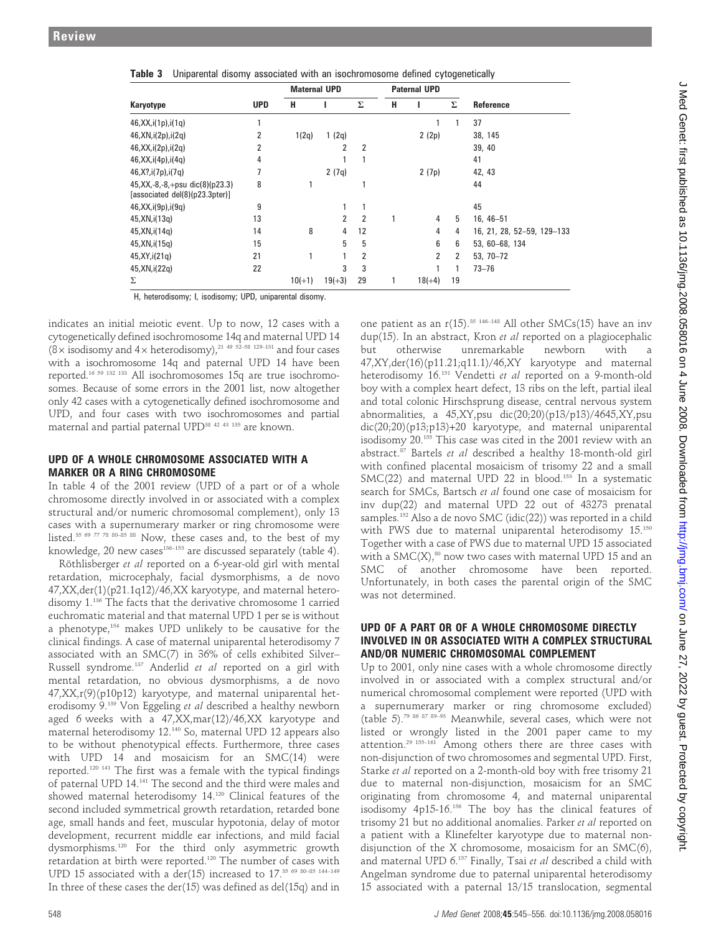|                                                                           |            | <b>Maternal UPD</b> |          |    | <b>Paternal UPD</b> |          |    |                            |  |
|---------------------------------------------------------------------------|------------|---------------------|----------|----|---------------------|----------|----|----------------------------|--|
| Karyotype                                                                 | <b>UPD</b> | н                   |          | Σ  | н                   |          | Σ  | Reference                  |  |
| 46, XX, i(1p), i(1q)                                                      |            |                     |          |    |                     |          |    | 37                         |  |
| 46, XN, i(2p), i(2q)                                                      | 2          | 1(2q)               | 1(2q)    |    |                     | 2(2p)    |    | 38, 145                    |  |
| 46, XX, i(2p), i(2q)                                                      | 2          |                     | 2        | 2  |                     |          |    | 39, 40                     |  |
| 46, XX, i(4p), i(4q)                                                      | 4          |                     |          |    |                     |          |    | 41                         |  |
| 46, X?, i(7p), i(7q)                                                      | 7          |                     | 2(7q)    |    |                     | 2(7p)    |    | 42, 43                     |  |
| $45, XX, -8, -8, +psu \, dic(8)(p23.3)$<br>[associated del(8)(p23.3pter)] | 8          |                     |          |    |                     |          |    | 44                         |  |
| 46, XX, i(9p), i(9q)                                                      | 9          |                     |          |    |                     |          |    | 45                         |  |
| 45, XN, i(13q)                                                            | 13         |                     | 2        | 2  |                     | 4        | 5  | $16, 46 - 51$              |  |
| 45, XN, i(14q)                                                            | 14         | 8                   | 4        | 12 |                     | 4        | 4  | 16, 21, 28, 52-59, 129-133 |  |
| 45, XN, i(15q)                                                            | 15         |                     | 5        | 5  |                     | 6        | 6  | 53, 60-68, 134             |  |
| 45, XY, i(21q)                                                            | 21         |                     |          | 2  |                     | 2        | 2  | 53, 70-72                  |  |
| 45, XN, i(22q)                                                            | 22         |                     | 3        | 3  |                     |          |    | $73 - 76$                  |  |
| Σ                                                                         |            | $10(+1)$            | $19(+3)$ | 29 |                     | $18(+4)$ | 19 |                            |  |

Table 3 Uniparental disomy associated with an isochromosome defined cytogenetically

H, heterodisomy; I, isodisomy; UPD, uniparental disomy.

indicates an initial meiotic event. Up to now, 12 cases with a cytogenetically defined isochromosome 14q and maternal UPD 14  $(8 \times$  isodisomy and  $4 \times$  heterodisomy),<sup>21 49 52–58 129–131</sup> and four cases with a isochromosome 14q and paternal UPD 14 have been reported.16 59 132 133 All isochromosomes 15q are true isochromosomes. Because of some errors in the 2001 list, now altogether only 42 cases with a cytogenetically defined isochromosome and UPD, and four cases with two isochromosomes and partial maternal and partial paternal UPD38 42 43 135 are known.

### UPD OF A WHOLE CHROMOSOME ASSOCIATED WITH A MARKER OR A RING CHROMOSOME

In table 4 of the 2001 review (UPD of a part or of a whole chromosome directly involved in or associated with a complex structural and/or numeric chromosomal complement), only 13 cases with a supernumerary marker or ring chromosome were listed.35 69 77 78 80–85 88 Now, these cases and, to the best of my knowledge, 20 new cases<sup>136-153</sup> are discussed separately (table 4).

Röthlisberger et al reported on a 6-year-old girl with mental retardation, microcephaly, facial dysmorphisms, a de novo 47,XX,der(1)(p21.1q12)/46,XX karyotype, and maternal heterodisomy 1.136 The facts that the derivative chromosome 1 carried euchromatic material and that maternal UPD 1 per se is without a phenotype,154 makes UPD unlikely to be causative for the clinical findings. A case of maternal uniparental heterodisomy 7 associated with an SMC(7) in 36% of cells exhibited Silver– Russell syndrome.<sup>137</sup> Anderlid et al reported on a girl with mental retardation, no obvious dysmorphisms, a de novo 47,XX,r(9)(p10p12) karyotype, and maternal uniparental heterodisomy 9.<sup>139</sup> Von Eggeling et al described a healthy newborn aged 6 weeks with a 47,XX,mar(12)/46,XX karyotype and maternal heterodisomy 12.140 So, maternal UPD 12 appears also to be without phenotypical effects. Furthermore, three cases with UPD 14 and mosaicism for an SMC(14) were reported.120 141 The first was a female with the typical findings of paternal UPD 14.141 The second and the third were males and showed maternal heterodisomy 14.120 Clinical features of the second included symmetrical growth retardation, retarded bone age, small hands and feet, muscular hypotonia, delay of motor development, recurrent middle ear infections, and mild facial dysmorphisms.120 For the third only asymmetric growth retardation at birth were reported.120 The number of cases with UPD 15 associated with a der(15) increased to 17. $35$  69 80-85 144-149 In three of these cases the der(15) was defined as del(15q) and in

one patient as an  $r(15)$ .<sup>35 146–148</sup> All other SMCs(15) have an inv dup(15). In an abstract, Kron et al reported on a plagiocephalic but otherwise unremarkable newborn with a 47,XY,der(16)(p11.21;q11.1)/46,XY karyotype and maternal heterodisomy 16.151 Vendetti et al reported on a 9-month-old boy with a complex heart defect, 13 ribs on the left, partial ileal and total colonic Hirschsprung disease, central nervous system abnormalities, a  $45, XY, psu$  dic(20;20)(p13/p13)/4645,XY,psu dic(20;20)(p13;p13)+20 karyotype, and maternal uniparental isodisomy 20.155 This case was cited in the 2001 review with an abstract.<sup>87</sup> Bartels et al described a healthy 18-month-old girl with confined placental mosaicism of trisomy 22 and a small SMC(22) and maternal UPD 22 in blood.<sup>153</sup> In a systematic search for SMCs, Bartsch et al found one case of mosaicism for inv dup(22) and maternal UPD 22 out of 43273 prenatal samples.152 Also a de novo SMC (idic(22)) was reported in a child with PWS due to maternal uniparental heterodisomy 15.150 Together with a case of PWS due to maternal UPD 15 associated with a  $SMC(X)$ ,<sup>80</sup> now two cases with maternal UPD 15 and an SMC of another chromosome have been reported. Unfortunately, in both cases the parental origin of the SMC was not determined.

#### UPD OF A PART OR OF A WHOLE CHROMOSOME DIRECTLY INVOLVED IN OR ASSOCIATED WITH A COMPLEX STRUCTURAL AND/OR NUMERIC CHROMOSOMAL COMPLEMENT

Up to 2001, only nine cases with a whole chromosome directly involved in or associated with a complex structural and/or numerical chromosomal complement were reported (UPD with a supernumerary marker or ring chromosome excluded) (table 5).79 86 87 89–93 Meanwhile, several cases, which were not listed or wrongly listed in the 2001 paper came to my attention.29 155–161 Among others there are three cases with non-disjunction of two chromosomes and segmental UPD. First, Starke et al reported on a 2-month-old boy with free trisomy 21 due to maternal non-disjunction, mosaicism for an SMC originating from chromosome 4, and maternal uniparental isodisomy 4p15-16.156 The boy has the clinical features of trisomy 21 but no additional anomalies. Parker et al reported on a patient with a Klinefelter karyotype due to maternal nondisjunction of the X chromosome, mosaicism for an SMC(6), and maternal UPD 6.157 Finally, Tsai et al described a child with Angelman syndrome due to paternal uniparental heterodisomy 15 associated with a paternal 13/15 translocation, segmental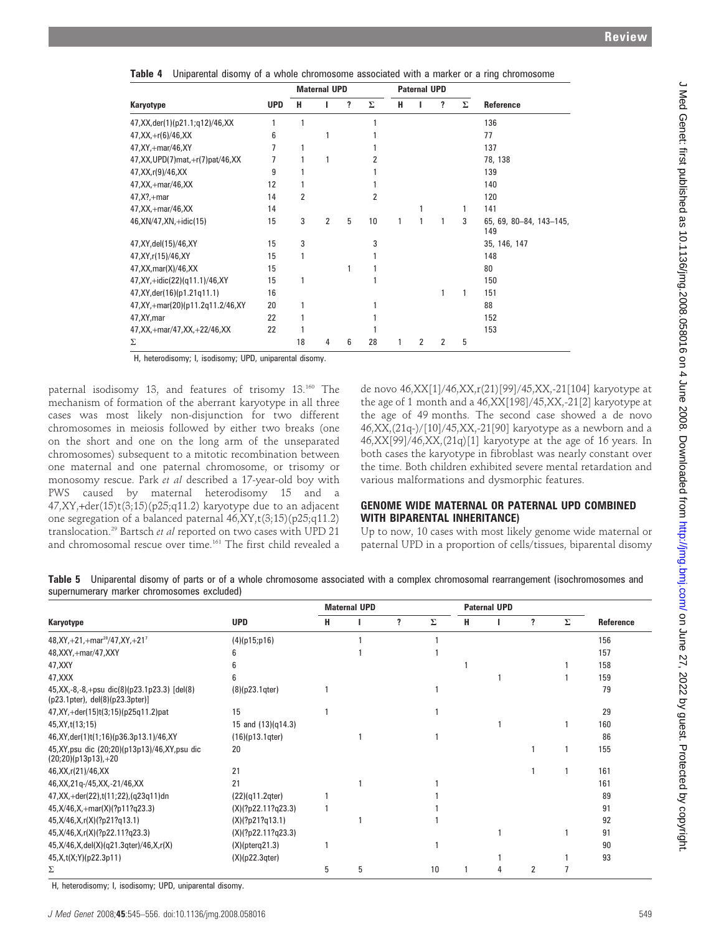|                                      |            | <b>Maternal UPD</b> |   |   |    |   | <b>Paternal UPD</b> |   |   |                                |  |
|--------------------------------------|------------|---------------------|---|---|----|---|---------------------|---|---|--------------------------------|--|
| Karyotype                            | <b>UPD</b> | н                   |   | ? | Σ  | н |                     | ? | Σ | Reference                      |  |
| 47, XX, der(1)(p21.1; q12)/46, XX    |            |                     |   |   |    |   |                     |   |   | 136                            |  |
| 47,XX,+r(6)/46,XX                    | 6          |                     |   |   |    |   |                     |   |   | 77                             |  |
| 47, XY, +mar/46, XY                  |            |                     |   |   |    |   |                     |   |   | 137                            |  |
| 47, XX, UPD(7) mat, +r(7) pat/46, XX | 7          |                     |   |   | 2  |   |                     |   |   | 78, 138                        |  |
| 47, XX, r(9)/46, XX                  | 9          |                     |   |   |    |   |                     |   |   | 139                            |  |
| 47, XX, +mar/46, XX                  | 12         |                     |   |   |    |   |                     |   |   | 140                            |  |
| 47, X?, +mar                         | 14         | 2                   |   |   | 2  |   |                     |   |   | 120                            |  |
| 47, XX, +mar/46, XX                  | 14         |                     |   |   |    |   |                     |   |   | 141                            |  |
| 46, XN/47, XN, +idic(15)             | 15         | 3                   | 2 | 5 | 10 | 1 |                     | 1 | 3 | 65, 69, 80-84, 143-145,<br>149 |  |
| 47,XY,del(15)/46,XY                  | 15         | 3                   |   |   | 3  |   |                     |   |   | 35, 146, 147                   |  |
| 47, XY, r(15)/46, XY                 | 15         |                     |   |   |    |   |                     |   |   | 148                            |  |
| 47,XX,mar(X)/46,XX                   | 15         |                     |   | 1 |    |   |                     |   |   | 80                             |  |
| 47, XY, +idic(22)(q11.1)/46, XY      | 15         | 1                   |   |   |    |   |                     |   |   | 150                            |  |
| 47, XY, der(16)(p1.21q11.1)          | 16         |                     |   |   |    |   |                     | 1 | 1 | 151                            |  |
| 47, XY, + mar(20)(p11.2q11.2/46, XY  | 20         | 1                   |   |   |    |   |                     |   |   | 88                             |  |
| 47,XY,mar                            | 22         |                     |   |   |    |   |                     |   |   | 152                            |  |
| 47, XX, + mar/47, XX, +22/46, XX     | 22         |                     |   |   |    |   |                     |   |   | 153                            |  |
| Σ                                    |            | 18                  | 4 | 6 | 28 |   | $\overline{2}$      | 2 | 5 |                                |  |

|  |  |  |  |  |  |  |  |  | Table 4 Uniparental disomy of a whole chromosome associated with a marker or a ring chromosome |
|--|--|--|--|--|--|--|--|--|------------------------------------------------------------------------------------------------|
|--|--|--|--|--|--|--|--|--|------------------------------------------------------------------------------------------------|

H, heterodisomy; I, isodisomy; UPD, uniparental disomy.

paternal isodisomy 13, and features of trisomy 13.<sup>160</sup> The mechanism of formation of the aberrant karyotype in all three cases was most likely non-disjunction for two different chromosomes in meiosis followed by either two breaks (one on the short and one on the long arm of the unseparated chromosomes) subsequent to a mitotic recombination between one maternal and one paternal chromosome, or trisomy or monosomy rescue. Park et al described a 17-year-old boy with PWS caused by maternal heterodisomy 15 and a 47,XY,+der(15)t(3;15)(p25;q11.2) karyotype due to an adjacent one segregation of a balanced paternal 46,XY,t(3;15)(p25;q11.2) translocation.29 Bartsch et al reported on two cases with UPD 21 and chromosomal rescue over time.<sup>161</sup> The first child revealed a

de novo 46,XX[1]/46,XX,r(21)[99]/45,XX,-21[104] karyotype at the age of 1 month and a 46,XX[198]/45,XX,-21[2] karyotype at the age of 49 months. The second case showed a de novo 46,XX,(21q-)/[10]/45,XX,-21[90] karyotype as a newborn and a  $46,XX[99]/46,XX,(21q)[1]$  karyotype at the age of 16 years. In both cases the karyotype in fibroblast was nearly constant over the time. Both children exhibited severe mental retardation and various malformations and dysmorphic features.

### GENOME WIDE MATERNAL OR PATERNAL UPD COMBINED WITH BIPARENTAL INHERITANCE)

Up to now, 10 cases with most likely genome wide maternal or paternal UPD in a proportion of cells/tissues, biparental disomy

| Table 5 Uniparental disomy of parts or of a whole chromosome associated with a complex chromosomal rearrangement (isochromosomes and |  |  |  |  |  |  |
|--------------------------------------------------------------------------------------------------------------------------------------|--|--|--|--|--|--|
| supernumerary marker chromosomes excluded)                                                                                           |  |  |  |  |  |  |

|                                                                                    |                      |   | <b>Maternal UPD</b> |   | <b>Paternal UPD</b> |   |  |   |   |           |
|------------------------------------------------------------------------------------|----------------------|---|---------------------|---|---------------------|---|--|---|---|-----------|
| Karyotype                                                                          | <b>UPD</b>           | н |                     | ? | Σ                   | н |  | ? | Σ | Reference |
| 48, XY, +21, +mar <sup>28</sup> /47, XY, +21 <sup>7</sup>                          | (4)(p15;p16)         |   |                     |   |                     |   |  |   |   | 156       |
| 48, XXY, +mar/47, XXY                                                              |                      |   |                     |   |                     |   |  |   |   | 157       |
| 47, XXY                                                                            |                      |   |                     |   |                     |   |  |   |   | 158       |
| 47, XXX                                                                            |                      |   |                     |   |                     |   |  |   |   | 159       |
| 45, XX, -8, -8, +psu dic(8)(p23.1p23.3) [del(8)<br>(p23.1pter), del(8)(p23.3pter)] | (8)(p23.1qter)       |   |                     |   |                     |   |  |   |   | 79        |
| 47, XY, +der(15)t(3; 15)(p25q11.2)pat                                              | 15                   |   |                     |   |                     |   |  |   |   | 29        |
| 45, XY, t(13; 15)                                                                  | 15 and $(13)(q14.3)$ |   |                     |   |                     |   |  |   |   | 160       |
| 46, XY, der(1)t(1; 16)(p36.3p13.1)/46, XY                                          | (16)(p13.1qter)      |   |                     |   |                     |   |  |   |   | 86        |
| 45, XY, psu dic (20; 20)(p13p13)/46, XY, psu dic<br>(20;20)(p13p13),+20            | 20                   |   |                     |   |                     |   |  |   |   | 155       |
| 46, XX, r(21)/46, XX                                                               | 21                   |   |                     |   |                     |   |  |   |   | 161       |
| 46, XX, 21q-/45, XX, -21/46, XX                                                    | 21                   |   |                     |   |                     |   |  |   |   | 161       |
| 47, XX, +der(22), t(11; 22), (q23q11) dn                                           | (22)(q11.2qter)      |   |                     |   |                     |   |  |   |   | 89        |
| $45,\frac{X}{46},\frac{X}{+}$ mar $\left(\frac{X}{2p11},\frac{9}{23.3}\right)$     | (X)(?p22.11?q23.3)   |   |                     |   |                     |   |  |   |   | 91        |
| 45, X/46, X, r(X)(?p21?q13.1)                                                      | (X)(?p21?q13.1)      |   |                     |   |                     |   |  |   |   | 92        |
| 45, X/46, X, r(X)(?p22.11?q23.3)                                                   | (X)(?p22.11?q23.3)   |   |                     |   |                     |   |  |   |   | 91        |
| 45, X/46, X, del(X)(q21.3qter)/46, X, r(X)                                         | (X)(pterg21.3)       |   |                     |   |                     |   |  |   |   | 90        |
| 45, X, t(X; Y)(p22.3p11)                                                           | (X)(p22.3qter)       |   |                     |   |                     |   |  |   |   | 93        |
| Σ                                                                                  |                      | 5 | 5                   |   | 10                  |   |  | 2 |   |           |

H, heterodisomy; I, isodisomy; UPD, uniparental disomy.

J Med Genet: first published as 10.1136/jmg.2008.058016 on 4 June 2008. Downloaded from http://jmg.bmj.com/ on June 27, 2022 by guest. Protected by copyright J Med Genet: first published as 10.1136/jmg.2008.058016 on 4 June 2008. Downloaded from <http://jmg.bmj.com/> on June 27, 2022 by guest. Protected by copyright.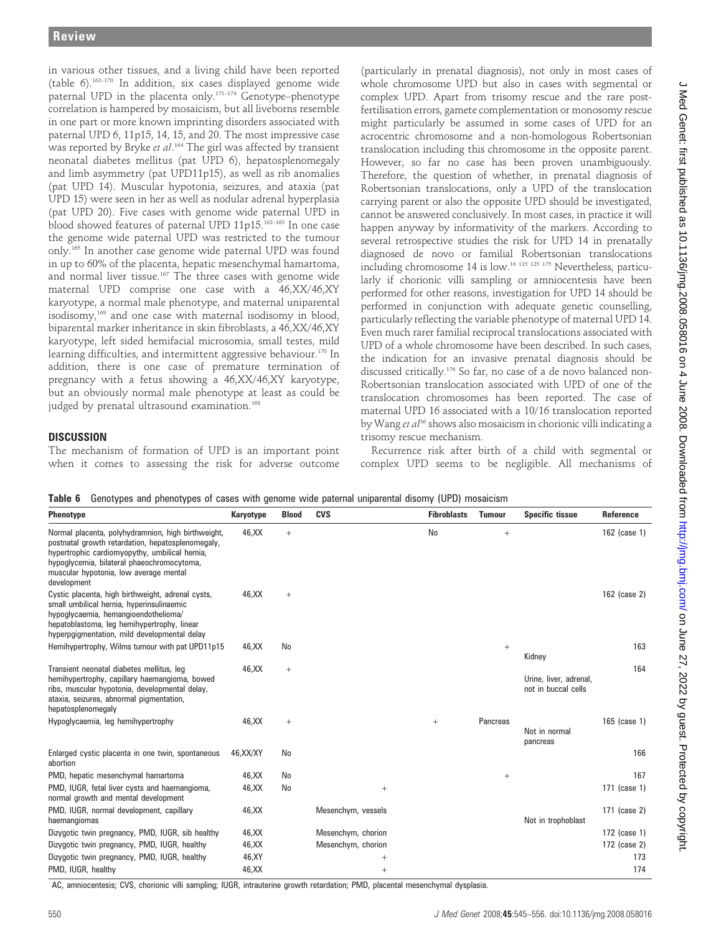in various other tissues, and a living child have been reported (table 6).162–170 In addition, six cases displayed genome wide paternal UPD in the placenta only.171–174 Genotype–phenotype correlation is hampered by mosaicism, but all liveborns resemble in one part or more known imprinting disorders associated with paternal UPD 6, 11p15, 14, 15, and 20. The most impressive case was reported by Bryke *et al*.<sup>164</sup> The girl was affected by transient neonatal diabetes mellitus (pat UPD 6), hepatosplenomegaly and limb asymmetry (pat UPD11p15), as well as rib anomalies (pat UPD 14). Muscular hypotonia, seizures, and ataxia (pat UPD 15) were seen in her as well as nodular adrenal hyperplasia (pat UPD 20). Five cases with genome wide paternal UPD in blood showed features of paternal UPD 11p15.<sup>162-165</sup> In one case the genome wide paternal UPD was restricted to the tumour only.165 In another case genome wide paternal UPD was found in up to 60% of the placenta, hepatic mesenchymal hamartoma, and normal liver tissue.167 The three cases with genome wide maternal UPD comprise one case with a 46,XX/46,XY karyotype, a normal male phenotype, and maternal uniparental isodisomy,<sup>169</sup> and one case with maternal isodisomy in blood, biparental marker inheritance in skin fibroblasts, a 46,XX/46,XY karyotype, left sided hemifacial microsomia, small testes, mild learning difficulties, and intermittent aggressive behaviour.<sup>170</sup> In addition, there is one case of premature termination of pregnancy with a fetus showing a 46,XX/46,XY karyotype, but an obviously normal male phenotype at least as could be judged by prenatal ultrasound examination.<sup>168</sup>

# **DISCUSSION**

The mechanism of formation of UPD is an important point when it comes to assessing the risk for adverse outcome

(particularly in prenatal diagnosis), not only in most cases of whole chromosome UPD but also in cases with segmental or complex UPD. Apart from trisomy rescue and the rare postfertilisation errors, gamete complementation or monosomy rescue might particularly be assumed in some cases of UPD for an acrocentric chromosome and a non-homologous Robertsonian translocation including this chromosome in the opposite parent. However, so far no case has been proven unambiguously. Therefore, the question of whether, in prenatal diagnosis of Robertsonian translocations, only a UPD of the translocation carrying parent or also the opposite UPD should be investigated, cannot be answered conclusively. In most cases, in practice it will happen anyway by informativity of the markers. According to several retrospective studies the risk for UPD 14 in prenatally diagnosed de novo or familial Robertsonian translocations including chromosome 14 is low.16 115 125 175 Nevertheless, particularly if chorionic villi sampling or amniocentesis have been performed for other reasons, investigation for UPD 14 should be performed in conjunction with adequate genetic counselling, particularly reflecting the variable phenotype of maternal UPD 14. Even much rarer familial reciprocal translocations associated with UPD of a whole chromosome have been described. In such cases, the indication for an invasive prenatal diagnosis should be discussed critically.176 So far, no case of a de novo balanced non-Robertsonian translocation associated with UPD of one of the translocation chromosomes has been reported. The case of maternal UPD 16 associated with a 10/16 translocation reported by Wang et al<sup>36</sup> shows also mosaicism in chorionic villi indicating a trisomy rescue mechanism.

Recurrence risk after birth of a child with segmental or complex UPD seems to be negligible. All mechanisms of

Table 6 Genotypes and phenotypes of cases with genome wide paternal uniparental disomy (UPD) mosaicism

| <b>Phenotype</b>                                                                                                                                                                                                                                                 | <b>Karyotype</b> | <b>Blood</b> | <b>CVS</b>         | <b>Fibroblasts</b> | <b>Tumour</b> | <b>Specific tissue</b>                        | Reference    |
|------------------------------------------------------------------------------------------------------------------------------------------------------------------------------------------------------------------------------------------------------------------|------------------|--------------|--------------------|--------------------|---------------|-----------------------------------------------|--------------|
| Normal placenta, polyhydramnion, high birthweight,<br>postnatal growth retardation, hepatosplenomegaly,<br>hypertrophic cardiomyopythy, umbilical hernia,<br>hypoglycemia, bilateral phaeochromocytoma,<br>muscular hypotonia, low average mental<br>development | 46, XX           | $^{+}$       |                    | No                 | $^{+}$        |                                               | 162 (case 1) |
| Cystic placenta, high birthweight, adrenal cysts,<br>small umbilical hernia, hyperinsulinaemic<br>hypoglycaemia, hemangioendothelioma/<br>hepatoblastoma, leg hemihypertrophy, linear<br>hyperpgigmentation, mild developmental delay                            | 46, XX           | $^{+}$       |                    |                    |               |                                               | 162 (case 2) |
| Hemihypertrophy, Wilms tumour with pat UPD11p15                                                                                                                                                                                                                  | 46, XX           | No           |                    |                    | $+$           |                                               | 163          |
| Transient neonatal diabetes mellitus, leg                                                                                                                                                                                                                        | 46, XX           | $^{+}$       |                    |                    |               | Kidney                                        | 164          |
| hemihypertrophy, capillary haemangioma, bowed<br>ribs, muscular hypotonia, developmental delay,<br>ataxia, seizures, abnormal pigmentation,<br>hepatosplenomegaly                                                                                                |                  |              |                    |                    |               | Urine, liver, adrenal,<br>not in buccal cells |              |
| Hypoglycaemia, leg hemihypertrophy                                                                                                                                                                                                                               | 46, XX           | $^{+}$       |                    | $+$                | Pancreas      | Not in normal<br>pancreas                     | 165 (case 1) |
| Enlarged cystic placenta in one twin, spontaneous<br>abortion                                                                                                                                                                                                    | 46, XX/XY        | No           |                    |                    |               |                                               | 166          |
| PMD, hepatic mesenchymal hamartoma                                                                                                                                                                                                                               | 46, XX           | No           |                    |                    | $^{+}$        |                                               | 167          |
| PMD, IUGR, fetal liver cysts and haemangioma,<br>normal growth and mental development                                                                                                                                                                            | 46, XX           | No           | $^{+}$             |                    |               |                                               | 171 (case 1) |
| PMD, IUGR, normal development, capillary<br>haemangiomas                                                                                                                                                                                                         | 46, XX           |              | Mesenchym, vessels |                    |               | Not in trophoblast                            | 171 (case 2) |
| Dizygotic twin pregnancy, PMD, IUGR, sib healthy                                                                                                                                                                                                                 | 46, XX           |              | Mesenchym, chorion |                    |               |                                               | 172 (case 1) |
| Dizygotic twin pregnancy, PMD, IUGR, healthy                                                                                                                                                                                                                     | 46, XX           |              | Mesenchym, chorion |                    |               |                                               | 172 (case 2) |
| Dizygotic twin pregnancy, PMD, IUGR, healthy                                                                                                                                                                                                                     | 46, XY           |              | $^{+}$             |                    |               |                                               | 173          |
| PMD, IUGR, healthy                                                                                                                                                                                                                                               | 46, XX           |              | $^{+}$             |                    |               |                                               | 174          |

AC, amniocentesis; CVS, chorionic villi sampling; IUGR, intrauterine growth retardation; PMD, placental mesenchymal dysplasia.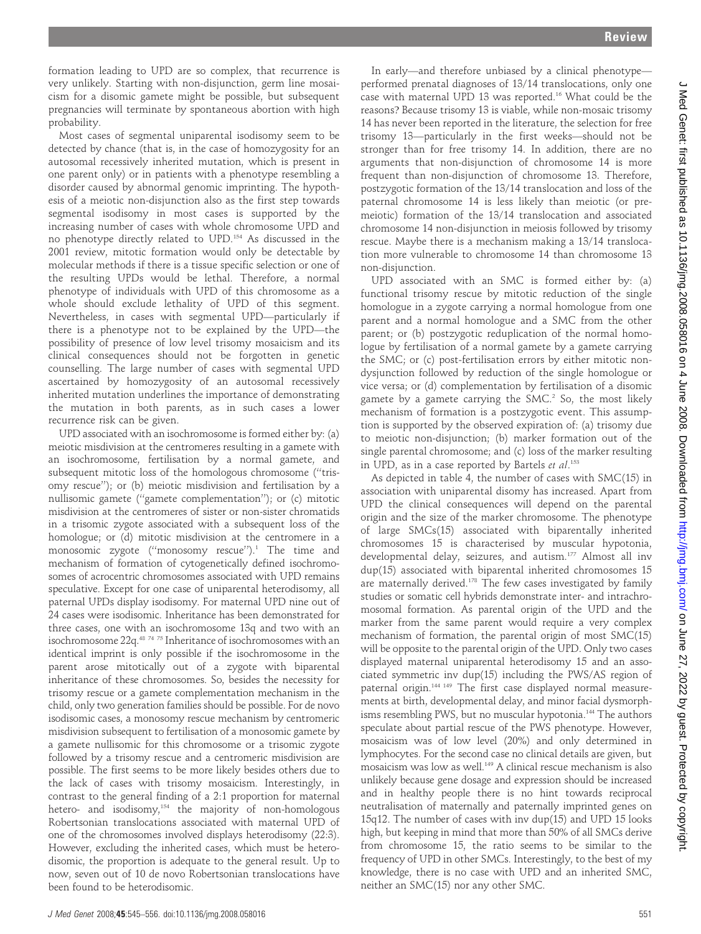formation leading to UPD are so complex, that recurrence is very unlikely. Starting with non-disjunction, germ line mosaicism for a disomic gamete might be possible, but subsequent pregnancies will terminate by spontaneous abortion with high probability.

Most cases of segmental uniparental isodisomy seem to be detected by chance (that is, in the case of homozygosity for an autosomal recessively inherited mutation, which is present in one parent only) or in patients with a phenotype resembling a disorder caused by abnormal genomic imprinting. The hypothesis of a meiotic non-disjunction also as the first step towards segmental isodisomy in most cases is supported by the increasing number of cases with whole chromosome UPD and no phenotype directly related to UPD.154 As discussed in the 2001 review, mitotic formation would only be detectable by molecular methods if there is a tissue specific selection or one of the resulting UPDs would be lethal. Therefore, a normal phenotype of individuals with UPD of this chromosome as a whole should exclude lethality of UPD of this segment. Nevertheless, in cases with segmental UPD—particularly if there is a phenotype not to be explained by the UPD—the possibility of presence of low level trisomy mosaicism and its clinical consequences should not be forgotten in genetic counselling. The large number of cases with segmental UPD ascertained by homozygosity of an autosomal recessively inherited mutation underlines the importance of demonstrating the mutation in both parents, as in such cases a lower recurrence risk can be given.

UPD associated with an isochromosome is formed either by: (a) meiotic misdivision at the centromeres resulting in a gamete with an isochromosome, fertilisation by a normal gamete, and subsequent mitotic loss of the homologous chromosome (''trisomy rescue''); or (b) meiotic misdivision and fertilisation by a nullisomic gamete (''gamete complementation''); or (c) mitotic misdivision at the centromeres of sister or non-sister chromatids in a trisomic zygote associated with a subsequent loss of the homologue; or (d) mitotic misdivision at the centromere in a monosomic zygote ("monosomy rescue").<sup>1</sup> The time and mechanism of formation of cytogenetically defined isochromosomes of acrocentric chromosomes associated with UPD remains speculative. Except for one case of uniparental heterodisomy, all paternal UPDs display isodisomy. For maternal UPD nine out of 24 cases were isodisomic. Inheritance has been demonstrated for three cases, one with an isochromosome 13q and two with an isochromosome 22q.48 74 75 Inheritance of isochromosomes with an identical imprint is only possible if the isochromosome in the parent arose mitotically out of a zygote with biparental inheritance of these chromosomes. So, besides the necessity for trisomy rescue or a gamete complementation mechanism in the child, only two generation families should be possible. For de novo isodisomic cases, a monosomy rescue mechanism by centromeric misdivision subsequent to fertilisation of a monosomic gamete by a gamete nullisomic for this chromosome or a trisomic zygote followed by a trisomy rescue and a centromeric misdivision are possible. The first seems to be more likely besides others due to the lack of cases with trisomy mosaicism. Interestingly, in contrast to the general finding of a 2:1 proportion for maternal hetero- and isodisomy,<sup>154</sup> the majority of non-homologous Robertsonian translocations associated with maternal UPD of one of the chromosomes involved displays heterodisomy (22:3). However, excluding the inherited cases, which must be heterodisomic, the proportion is adequate to the general result. Up to now, seven out of 10 de novo Robertsonian translocations have been found to be heterodisomic.

In early—and therefore unbiased by a clinical phenotype performed prenatal diagnoses of 13/14 translocations, only one case with maternal UPD 13 was reported.16 What could be the reasons? Because trisomy 13 is viable, while non-mosaic trisomy 14 has never been reported in the literature, the selection for free trisomy 13—particularly in the first weeks—should not be stronger than for free trisomy 14. In addition, there are no arguments that non-disjunction of chromosome 14 is more frequent than non-disjunction of chromosome 13. Therefore, postzygotic formation of the 13/14 translocation and loss of the paternal chromosome 14 is less likely than meiotic (or premeiotic) formation of the 13/14 translocation and associated chromosome 14 non-disjunction in meiosis followed by trisomy rescue. Maybe there is a mechanism making a 13/14 translocation more vulnerable to chromosome 14 than chromosome 13 non-disjunction.

UPD associated with an SMC is formed either by: (a) functional trisomy rescue by mitotic reduction of the single homologue in a zygote carrying a normal homologue from one parent and a normal homologue and a SMC from the other parent; or (b) postzygotic reduplication of the normal homologue by fertilisation of a normal gamete by a gamete carrying the SMC; or (c) post-fertilisation errors by either mitotic nondysjunction followed by reduction of the single homologue or vice versa; or (d) complementation by fertilisation of a disomic gamete by a gamete carrying the  $SMC<sup>2</sup>$  So, the most likely mechanism of formation is a postzygotic event. This assumption is supported by the observed expiration of: (a) trisomy due to meiotic non-disjunction; (b) marker formation out of the single parental chromosome; and (c) loss of the marker resulting in UPD, as in a case reported by Bartels et al.<sup>153</sup>

As depicted in table 4, the number of cases with SMC(15) in association with uniparental disomy has increased. Apart from UPD the clinical consequences will depend on the parental origin and the size of the marker chromosome. The phenotype of large SMCs(15) associated with biparentally inherited chromosomes 15 is characterised by muscular hypotonia, developmental delay, seizures, and autism.177 Almost all inv dup(15) associated with biparental inherited chromosomes 15 are maternally derived.<sup>178</sup> The few cases investigated by family studies or somatic cell hybrids demonstrate inter- and intrachromosomal formation. As parental origin of the UPD and the marker from the same parent would require a very complex mechanism of formation, the parental origin of most SMC(15) will be opposite to the parental origin of the UPD. Only two cases displayed maternal uniparental heterodisomy 15 and an associated symmetric inv dup(15) including the PWS/AS region of paternal origin.144 149 The first case displayed normal measurements at birth, developmental delay, and minor facial dysmorphisms resembling PWS, but no muscular hypotonia.<sup>144</sup> The authors speculate about partial rescue of the PWS phenotype. However, mosaicism was of low level (20%) and only determined in lymphocytes. For the second case no clinical details are given, but mosaicism was low as well.149 A clinical rescue mechanism is also unlikely because gene dosage and expression should be increased and in healthy people there is no hint towards reciprocal neutralisation of maternally and paternally imprinted genes on 15q12. The number of cases with inv dup(15) and UPD 15 looks high, but keeping in mind that more than 50% of all SMCs derive from chromosome 15, the ratio seems to be similar to the frequency of UPD in other SMCs. Interestingly, to the best of my knowledge, there is no case with UPD and an inherited SMC, neither an SMC(15) nor any other SMC.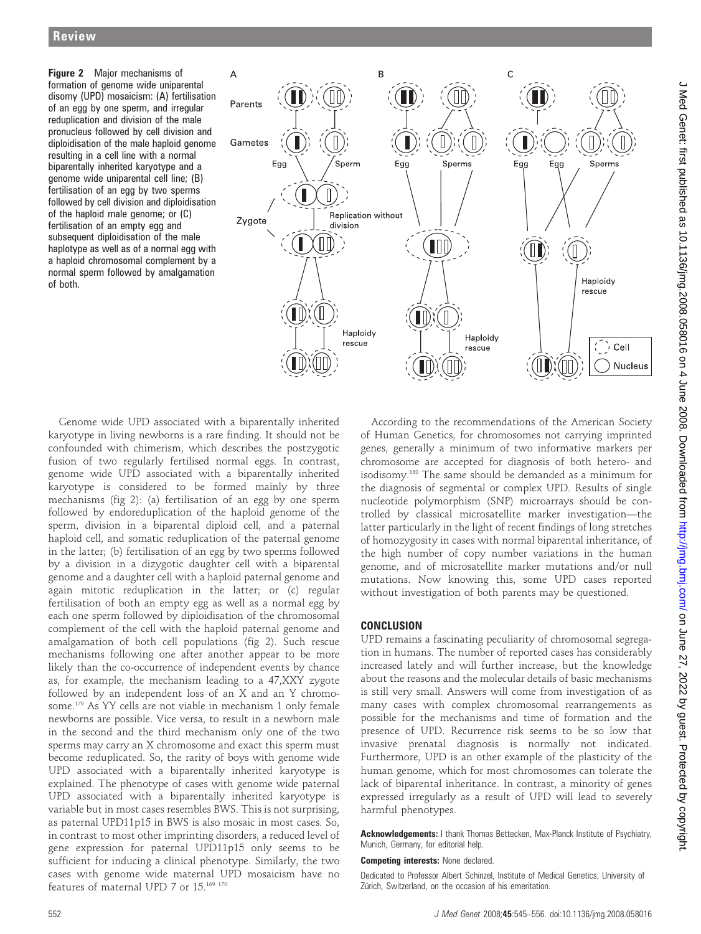Figure 2 Major mechanisms of formation of genome wide uniparental disomy (UPD) mosaicism: (A) fertilisation of an egg by one sperm, and irregular reduplication and division of the male pronucleus followed by cell division and diploidisation of the male haploid genome resulting in a cell line with a normal biparentally inherited karyotype and a genome wide uniparental cell line; (B) fertilisation of an egg by two sperms followed by cell division and diploidisation of the haploid male genome; or (C) fertilisation of an empty egg and subsequent diploidisation of the male haplotype as well as of a normal egg with a haploid chromosomal complement by a normal sperm followed by amalgamation of both.



Genome wide UPD associated with a biparentally inherited karyotype in living newborns is a rare finding. It should not be confounded with chimerism, which describes the postzygotic fusion of two regularly fertilised normal eggs. In contrast, genome wide UPD associated with a biparentally inherited karyotype is considered to be formed mainly by three mechanisms (fig 2): (a) fertilisation of an egg by one sperm followed by endoreduplication of the haploid genome of the sperm, division in a biparental diploid cell, and a paternal haploid cell, and somatic reduplication of the paternal genome in the latter; (b) fertilisation of an egg by two sperms followed by a division in a dizygotic daughter cell with a biparental genome and a daughter cell with a haploid paternal genome and again mitotic reduplication in the latter; or (c) regular fertilisation of both an empty egg as well as a normal egg by each one sperm followed by diploidisation of the chromosomal complement of the cell with the haploid paternal genome and amalgamation of both cell populations (fig 2). Such rescue mechanisms following one after another appear to be more likely than the co-occurrence of independent events by chance as, for example, the mechanism leading to a 47,XXY zygote followed by an independent loss of an X and an Y chromosome.<sup>179</sup> As YY cells are not viable in mechanism 1 only female newborns are possible. Vice versa, to result in a newborn male in the second and the third mechanism only one of the two sperms may carry an X chromosome and exact this sperm must become reduplicated. So, the rarity of boys with genome wide UPD associated with a biparentally inherited karyotype is explained. The phenotype of cases with genome wide paternal UPD associated with a biparentally inherited karyotype is variable but in most cases resembles BWS. This is not surprising, as paternal UPD11p15 in BWS is also mosaic in most cases. So, in contrast to most other imprinting disorders, a reduced level of gene expression for paternal UPD11p15 only seems to be sufficient for inducing a clinical phenotype. Similarly, the two cases with genome wide maternal UPD mosaicism have no features of maternal UPD 7 or 15.169 170

According to the recommendations of the American Society of Human Genetics, for chromosomes not carrying imprinted genes, generally a minimum of two informative markers per chromosome are accepted for diagnosis of both hetero- and isodisomy.180 The same should be demanded as a minimum for the diagnosis of segmental or complex UPD. Results of single nucleotide polymorphism (SNP) microarrays should be controlled by classical microsatellite marker investigation—the latter particularly in the light of recent findings of long stretches of homozygosity in cases with normal biparental inheritance, of the high number of copy number variations in the human genome, and of microsatellite marker mutations and/or null mutations. Now knowing this, some UPD cases reported without investigation of both parents may be questioned.

# **CONCLUSION**

UPD remains a fascinating peculiarity of chromosomal segregation in humans. The number of reported cases has considerably increased lately and will further increase, but the knowledge about the reasons and the molecular details of basic mechanisms is still very small. Answers will come from investigation of as many cases with complex chromosomal rearrangements as possible for the mechanisms and time of formation and the presence of UPD. Recurrence risk seems to be so low that invasive prenatal diagnosis is normally not indicated. Furthermore, UPD is an other example of the plasticity of the human genome, which for most chromosomes can tolerate the lack of biparental inheritance. In contrast, a minority of genes expressed irregularly as a result of UPD will lead to severely harmful phenotypes.

Acknowledgements: I thank Thomas Bettecken, Max-Planck Institute of Psychiatry, Munich, Germany, for editorial help.

Competing interests: None declared.

Dedicated to Professor Albert Schinzel, Institute of Medical Genetics, University of Zürich, Switzerland, on the occasion of his emeritation.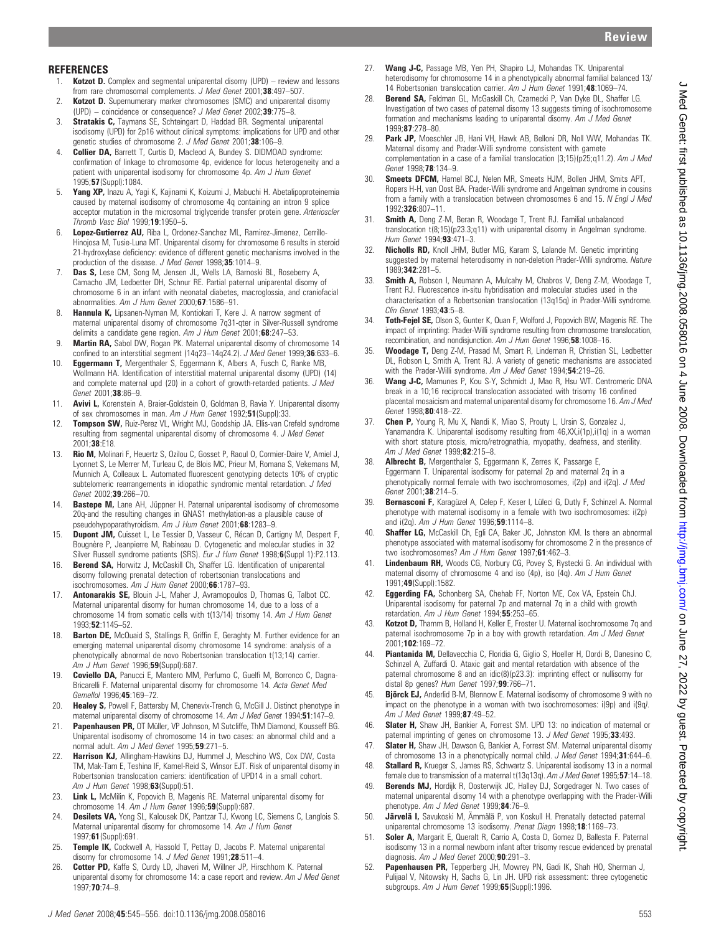#### **REFERENCES**

- 1. **Kotzot D.** Complex and segmental uniparental disomy (UPD) review and lessons from rare chromosomal complements. J Med Genet 2001:38:497-507
- 2. **Kotzot D.** Supernumerary marker chromosomes (SMC) and uniparental disomy (UPD) – coincidence or consequence? J Med Genet 2002;39:775–8.
- 3. Stratakis C, Taymans SE, Schteingart D, Haddad BR. Segmental uniparental isodisomy (UPD) for 2p16 without clinical symptoms: implications for UPD and other genetic studies of chromosome 2. J Med Genet 2001;38:106-9.
- Collier DA, Barrett T, Curtis D, Macleod A, Bundey S. DIDMOAD syndrome: confirmation of linkage to chromosome 4p, evidence for locus heterogeneity and a patient with uniparental isodisomy for chromosome 4p. Am J Hum Genet 1995;57(Suppl):1084.
- Yang XP, Inazu A, Yagi K, Kajinami K, Koizumi J, Mabuchi H. Abetalipoproteinemia caused by maternal isodisomy of chromosome 4q containing an intron 9 splice acceptor mutation in the microsomal triglyceride transfer protein gene. Arterioscler Thromb Vasc Biol 1999;19:1950–5.
- 6. Lopez-Gutierrez AU, Riba L, Ordonez-Sanchez ML, Ramirez-Jimenez, Cerrillo-Hinojosa M, Tusie-Luna MT. Uniparental disomy for chromosome 6 results in steroid 21-hydroxylase deficiency: evidence of different genetic mechanisms involved in the production of the disease. J Med Genet 1998;35:1014-9.
- 7. Das S, Lese CM, Song M, Jensen JL, Wells LA, Barnoski BL, Roseberry A, Camacho JM, Ledbetter DH, Schnur RE. Partial paternal uniparental disomy of chromosome 6 in an infant with neonatal diabetes, macroglossia, and craniofacial abnormalities. Am J Hum Genet 2000;67:1586-91.
- 8. Hannula K, Lipsanen-Nyman M, Kontiokari T, Kere J. A narrow segment of maternal uniparental disomy of chromosome 7q31-qter in Silver-Russell syndrome delimits a candidate gene region. Am J Hum Genet 2001;68:247-53.
- 9. **Martin RA,** Sabol DW, Rogan PK. Maternal uniparental disomy of chromosome 14 confined to an interstitial segment (14q23-14q24.2). J Med Genet 1999;36:633-6.
- 10. Eggermann T, Mergenthaler S, Eggermann K, Albers A, Fusch C, Ranke MB, Wollmann HA. Identification of interstitial maternal uniparental disomy (UPD) (14) and complete maternal upd (20) in a cohort of growth-retarded patients. J Med Genet 2001;38:86–9.
- 11. **Avivi L,** Korenstein A, Braier-Goldstein O, Goldman B, Ravia Y. Uniparental disomy of sex chromosomes in man. Am J Hum Genet 1992;51(Suppl):33.
- 12. **Tompson SW, Ruiz-Perez VL, Wright MJ, Goodship JA. Ellis-van Crefeld syndrome** resulting from segmental uniparental disomy of chromosome 4. J Med Genet 2001;38:E18.
- 13. Rio M, Molinari F, Heuertz S, Ozilou C, Gosset P, Raoul O, Cormier-Daire V, Amiel J, Lyonnet S, Le Merrer M, Turleau C, de Blois MC, Prieur M, Romana S, Vekemans M, Munnich A, Colleaux L. Automated fluorescent genotyping detects 10% of cryptic subtelomeric rearrangements in idiopathic syndromic mental retardation. J Med Genet 2002;39:266–70.
- Bastepe M, Lane AH, Jüppner H. Paternal uniparental isodisomy of chromosome 20q-and the resulting changes in GNAS1 methylation-as a plausible cause of pseudohypoparathyroidism. Am J Hum Genet 2001;68:1283-9.
- 15. Dupont JM, Cuisset L, Le Tessier D, Vasseur C, Récan D, Cartigny M, Despert F, Bougnère P, Jeanpierre M, Rabineau D. Cytogenetic and molecular studies in 32 Silver Russell syndrome patients (SRS). Eur J Hum Genet 1998;6(Suppl 1):P2.113.
- 16. **Berend SA, Horwitz J, McCaskill Ch, Shaffer LG. Identification of uniparental** disomy following prenatal detection of robertsonian translocations and isochromosomes. Am J Hum Genet 2000;66:1787–93.
- 17. **Antonarakis SE, Blouin J-L, Maher J, Avramopoulos D, Thomas G, Talbot CC.** Maternal uniparental disomy for human chromosome 14, due to a loss of a chromosome 14 from somatic cells with t(13/14) trisomy 14. Am J Hum Genet 1993;52:1145–52.
- 18. **Barton DE, McQuaid S, Stallings R, Griffin E, Geraghty M. Further evidence for an** emerging maternal uniparental disomy chromosome 14 syndrome: analysis of a phenotypically abnormal de novo Robertsonian translocation t(13;14) carrier. Am J Hum Genet 1996;59(Suppl):687.
- 19. Coviello DA, Panucci E, Mantero MM, Perfumo C, Guelfi M, Borronco C, Dagna-Bricarelli F. Maternal uniparental disomy for chromosome 14. Acta Genet Med Gemellol 1996;45:169–72.
- 20. Healey S, Powell F, Battersby M, Chenevix-Trench G, McGill J. Distinct phenotype in maternal uniparental disomy of chromosome 14. Am J Med Genet 1994;51:147-9.
- 21. Papenhausen PR, OT Müller, VP Johnson, M Sutcliffe, ThM Diamond, Kousseff BG. Uniparental isodisomy of chromosome 14 in two cases: an abnormal child and a normal adult. Am J Med Genet 1995;59:271-5.
- 22. Harrison KJ, Allingham-Hawkins DJ, Hummel J, Meschino WS, Cox DW, Costa TM, Mak-Tam E, Teshina IF, Kamel-Reid S, Winsor EJT. Risk of uniparental disomy in Robertsonian translocation carriers: identification of UPD14 in a small cohort. Am J Hum Genet 1998;63(Suppl):51.
- 23. Link L, McMilin K, Popovich B, Magenis RE. Maternal uniparental disomy for chromosome 14. Am J Hum Genet 1996;59(Suppl):687.
- 24. Desilets VA, Yong SL, Kalousek DK, Pantzar TJ, Kwong LC, Siemens C, Langlois S. Maternal uniparental disomy for chromosome 14. Am J Hum Genet 1997;61(Suppl):691.
- 25. **Temple IK,** Cockwell A, Hassold T, Pettay D, Jacobs P. Maternal uniparental disomy for chromosome 14. J Med Genet 1991;28:511–4.
- 26. Cotter PD, Kaffe S, Curdy LD, Jhaveri M, Willner JP, Hirschhorn K. Paternal uniparental disomy for chromosome 14: a case report and review. Am J Med Genet 1997;70:74–9.
- 27. Wang J-C, Passage MB, Yen PH, Shapiro LJ, Mohandas TK. Uniparental heterodisomy for chromosome 14 in a phenotypically abnormal familial balanced 13/ 14 Robertsonian translocation carrier. Am J Hum Genet 1991;48:1069-74.
- 28. Berend SA, Feldman GL, McGaskill Ch, Czarnecki P, Van Dyke DL, Shaffer LG. Investigation of two cases of paternal disomy 13 suggests timing of isochromosome formation and mechanisms leading to uniparental disomy. Am J Med Genet 1999;87:278–80.
- 29. Park JP, Moeschler JB, Hani VH, Hawk AB, Belloni DR, Noll WW, Mohandas TK. Maternal disomy and Prader-Willi syndrome consistent with gamete complementation in a case of a familial translocation (3;15)(p25;q11.2). Am J Med Genet 1998;78:134–9.
- 30. Smeets DFCM, Hamel BCJ, Nelen MR, Smeets HJM, Bollen JHM, Smits APT, Ropers H-H, van Oost BA. Prader-Willi syndrome and Angelman syndrome in cousins from a family with a translocation between chromosomes 6 and 15. N Engl J Med 1992;326:807–11.
- 31. Smith A, Deng Z-M, Beran R, Woodage T, Trent RJ. Familial unbalanced translocation t(8;15)(p23.3;q11) with uniparental disomy in Angelman syndrome. Hum Genet 1994;93:471–3.
- 32. Nicholls RD, Knoll JHM, Butler MG, Karam S, Lalande M. Genetic imprinting suggested by maternal heterodisomy in non-deletion Prader-Willi syndrome. Nature 1989;342:281–5.
- 33. **Smith A,** Robson I, Neumann A, Mulcahy M, Chabros V, Deng Z-M, Woodage T, Trent RJ. Fluorescence in-situ hybridisation and molecular studies used in the characterisation of a Robertsonian translocation (13q15q) in Prader-Willi syndrome. Clin Genet 1993;43:5–8.
- 34. **Toth-Fejel SE,** Olson S, Gunter K, Quan F, Wolford J, Popovich BW, Magenis RE. The impact of imprinting: Prader-Willi syndrome resulting from chromosome translocation, recombination, and nondisiunction. Am J Hum Genet 1996:58:1008-16.
- 35. Woodage T, Deng Z-M, Prasad M, Smart R, Lindeman R, Christian SL, Ledbetter DL, Robson L, Smith A, Trent RJ. A variety of genetic mechanisms are associated with the Prader-Willi syndrome. Am J Med Genet 1994;54:219-26.
- 36. Wang J-C, Mamunes P, Kou S-Y, Schmidt J, Mao R, Hsu WT. Centromeric DNA break in a 10;16 reciprocal translocation associated with trisomy 16 confined placental mosaicism and maternal uniparental disomy for chromosome 16. Am J Med Genet 1998;80:418–22.
- 37. Chen P, Young R, Mu X, Nandi K, Miao S, Prouty L, Ursin S, Gonzalez J, Yanamandra K. Uniparental isodisomy resulting from 46,XX,i(1p),i(1q) in a woman with short stature ptosis, micro/retrognathia, myopathy, deafness, and sterility. Am J Med Genet 1999:82:215-8.
- 38. Albrecht B, Mergenthaler S, Eggermann K, Zerres K, Passarge E, Eggermann T. Uniparental isodisomy for paternal 2p and maternal 2q in a phenotypically normal female with two isochromosomes, i(2p) and i(2q). J Med Genet 2001;38:214-5.
- 39. Bernasconi F, Karagüzel A, Celep F, Keser I, Lüleci G, Dutly F, Schinzel A. Normal phenotype with maternal isodisomy in a female with two isochromosomes: i(2p) and i(2q). Am J Hum Genet 1996;59:1114-8.
- 40. Shaffer LG, McCaskill Ch, Egli CA, Baker JC, Johnston KM. Is there an abnormal phenotype associated with maternal isodisomy for chromosome 2 in the presence of two isochromosomes? Am J Hum Genet 1997;61:462–3.
- Lindenbaum RH, Woods CG, Norbury CG, Povey S, Rystecki G. An individual with maternal disomy of chromosome 4 and iso (4p), iso (4q). Am J Hum Genet 1991;49(Suppl):1582.
- 42. Eggerding FA, Schonberg SA, Chehab FF, Norton ME, Cox VA, Epstein ChJ. Uniparental isodisomy for paternal 7p and maternal 7q in a child with growth retardation. Am J Hum Genet 1994;55:253–65.
- 43. Kotzot D, Thamm B, Holland H, Keller E, Froster U. Maternal isochromosome 7q and paternal isochromosome 7p in a boy with growth retardation. Am J Med Genet 2001;102:169–72.
- 44. Piantanida M, Dellavecchia C, Floridia G, Giglio S, Hoeller H, Dordi B, Danesino C, Schinzel A, Zuffardi O. Ataxic gait and mental retardation with absence of the paternal chromosome 8 and an idic(8)(p23.3): imprinting effect or nullisomy for distal 8p genes? Hum Genet 1997;99:766-71.
- 45. Björck EJ, Anderlid B-M, Blennow E. Maternal isodisomy of chromosome 9 with no impact on the phenotype in a woman with two isochromosomes: i(9p) and i(9q). Am J Med Genet 1999;87:49-52.
- 46. Slater H, Shaw JH, Bankier A, Forrest SM. UPD 13: no indication of maternal or paternal imprinting of genes on chromosome 13. J Med Genet 1995;33:493.
- 47. Slater H, Shaw JH, Dawson G, Bankier A, Forrest SM. Maternal uniparental disomy of chromosome 13 in a phenotypically normal child. J Med Genet 1994;31:644-6.
- 48. **Stallard R,** Krueger S, James RS, Schwartz S. Uniparental isodisomy 13 in a normal female due to transmission of a maternal t(13q13q). Am J Med Genet 1995:57:14–18.
- 49. Berends MJ, Hordijk R, Oosterwijk JC, Halley DJ, Sorgedrager N. Two cases of maternal uniparental disomy 14 with a phenotype overlapping with the Prader-Willi phenotype. Am J Med Genet 1999;84:76-9.
- 50. **Järvelä I,** Savukoski M, Ämmälä P, von Koskull H. Prenatally detected paternal uniparental chromosome 13 isodisomy. Prenat Diagn 1998;18:1169-73.
- 51. Soler A, Margarit E, Queralt R, Carrio A, Costa D, Gomez D, Ballesta F. Paternal isodisomy 13 in a normal newborn infant after trisomy rescue evidenced by prenatal diagnosis. Am J Med Genet 2000: $90:291-3$ .
- 52. Papenhausen PR, Tepperberg JH, Mowrey PN, Gadi IK, Shah HO, Sherman J, Pulijaal V, Nitowsky H, Sachs G, Lin JH. UPD risk assessment: three cytogenetic subgroups. Am J Hum Genet 1999;65(Suppl):1996.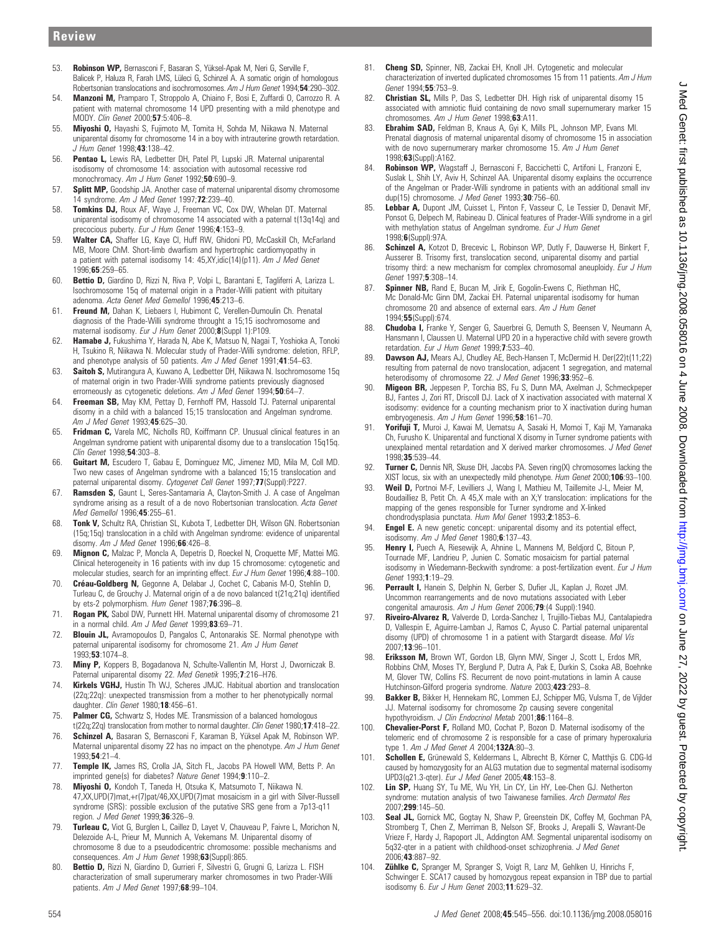# **Review**

- 53. Robinson WP, Bernasconi F, Basaran S, Yüksel-Apak M, Neri G, Serville F, Balicek P, Haluza R, Farah LMS, Lüleci G, Schinzel A. A somatic origin of homologous Robertsonian translocations and isochromosomes. Am J Hum Genet 1994;54:290–302.
- 54. Manzoni M, Pramparo T, Stroppolo A, Chiaino F, Bosi E, Zuffardi O, Carrozzo R. A patient with maternal chromosome 14 UPD presenting with a mild phenotype and MODY. Clin Genet 2000;57:5:406–8.
- 55. Miyoshi O, Hayashi S, Fujimoto M, Tomita H, Sohda M, Niikawa N. Maternal uniparental disomy for chromosome 14 in a boy with intrauterine growth retardation. J Hum Genet 1998;43:138-42.
- 56. Pentao L, Lewis RA, Ledbetter DH, Patel PI, Lupski JR. Maternal uniparental isodisomy of chromosome 14: association with autosomal recessive rod monochromacy. Am J Hum Genet 1992;50:690-9.
- 57. **Splitt MP,** Goodship JA. Another case of maternal uniparental disomy chromosome 14 syndrome. Am J Med Genet 1997;72:239–40.
- 58. Tomkins DJ, Roux AF, Waye J, Freeman VC, Cox DW, Whelan DT. Maternal uniparental isodisomy of chromosome 14 associated with a paternal t(13q14q) and precocious puberty. Eur J Hum Genet 1996;4:153-9.
- 59. Walter CA, Shaffer LG, Kaye CI, Huff RW, Ghidoni PD, McCaskill Ch, McFarland MB, Moore ChM. Short-limb dwarfism and hypertrophic cardiomyopathy in a patient with paternal isodisomy 14: 45,XY,idic(14)(p11). Am J Med Genet 1996;65:259–65.
- 60. Bettio D, Giardino D, Rizzi N, Riva P, Volpi L, Barantani E, Tagliferri A, Larizza L. Isochromosome 15q of maternal origin in a Prader-Willi patient with pituitary adenoma. Acta Genet Med Gemellol 1996;45:213–6.
- 61. Freund M, Dahan K, Liebaers I, Hubimont C, Verellen-Dumoulin Ch. Prenatal diagnosis of the Prade-Willi syndrome throught a 15;15 isochromosome and maternal isodisomy. Eur J Hum Genet 2000; 8 (Suppl 1): P109.
- 62. Hamabe J, Fukushima Y, Harada N, Abe K, Matsuo N, Nagai T, Yoshioka A, Tonoki H, Tsukino R, Niikawa N. Molecular study of Prader-Willi syndrome: deletion, RFLP, and phenotype analysis of 50 patients. Am J Med Genet 1991;41:54–63.
- 63. Saitoh S, Mutirangura A, Kuwano A, Ledbetter DH, Niikawa N. Isochromosome 15q of maternal origin in two Prader-Willi syndrome patients previously diagnosed errorneously as cytogenetic deletions. Am J Med Genet 1994;50:64-7.
- 64. Freeman SB, May KM, Pettay D, Fernhoff PM, Hassold TJ. Paternal uniparental disomy in a child with a balanced 15;15 translocation and Angelman syndrome. Am J Med Genet 1993:45:625-30.
- 65. Fridman C, Varela MC, Nicholls RD, Koiffmann CP. Unusual clinical features in an Angelman syndrome patient with uniparental disomy due to a translocation 15q15q. Clin Genet 1998;54:303–8.
- 66. Guitart M, Escudero T, Gabau E, Dominguez MC, Jimenez MD, Mila M, Coll MD. Two new cases of Angelman syndrome with a balanced 15;15 translocation and paternal uniparental disomy. Cytogenet Cell Genet 1997;77(Suppl):P227.
- 67. Ramsden S, Gaunt L, Seres-Santamaria A, Clayton-Smith J. A case of Angelman syndrome arising as a result of a de novo Robertsonian translocation. Acta Genet Med Gemellol 1996;45:255–61.
- 68. Tonk V, Schultz RA, Christian SL, Kubota T, Ledbetter DH, Wilson GN. Robertsonian (15q;15q) translocation in a child with Angelman syndrome: evidence of uniparental disomy. Am J Med Genet 1996;66:426-8.
- 69. Mignon C, Malzac P, Moncla A, Depetris D, Roeckel N, Croquette MF, Mattei MG. Clinical heterogeneity in 16 patients with inv dup 15 chromosome: cytogenetic and molecular studies, search for an imprinting effect. Eur J Hum Genet 1996;4:88–100.
- 70. Créau-Goldberg N, Gegonne A, Delabar J, Cochet C, Cabanis M-O, Stehlin D, Turleau C, de Grouchy J. Maternal origin of a de novo balanced t(21q;21q) identified by ets-2 polymorphism. Hum Genet 1987;76:396–8.
- 71. **Rogan PK,** Sabol DW, Punnett HH. Maternal uniparental disomy of chromosome 21 in a normal child. Am J Med Genet 1999;83:69-71.
- 72. Blouin JL, Avramopoulos D, Pangalos C, Antonarakis SE. Normal phenotype with paternal uniparental isodisomy for chromosome 21. Am J Hum Genet 1993;53:1074–8.
- 73. Miny P, Koppers B, Bogadanova N, Schulte-Vallentin M, Horst J, Dworniczak B. Paternal uniparental disomy 22. Med Genetik 1995;7:216-H76.
- 74. **Kirkels VGHJ,** Hustin Th WJ, Scheres JMJC. Habitual abortion and translocation (22q;22q): unexpected transmission from a mother to her phenotypically normal daughter. Clin Genet 1980;18:456–61.
- 75. Palmer CG, Schwartz S, Hodes ME. Transmission of a balanced homologous t(22q;22q) translocation from mother to normal daughter. Clin Genet 1980;17:418-22.
- 76. Schinzel A, Basaran S, Bernasconi F, Karaman B, Yüksel Apak M, Robinson WP. Maternal uniparental disomy 22 has no impact on the phenotype. Am J Hum Genet 1993;54:21–4.
- 77. Temple IK, James RS, Crolla JA, Sitch FL, Jacobs PA Howell WM, Betts P. An imprinted gene(s) for diabetes? Nature Genet 1994;9:110-2.
- 78. Miyoshi O, Kondoh T, Taneda H, Otsuka K, Matsumoto T, Niikawa N. 47,XX,UPD(7)mat,+r(7)pat/46,XX,UPD(7)mat mosaicism in a girl with Silver-Russell syndrome (SRS): possible exclusion of the putative SRS gene from a 7p13-q11 region. J Med Genet 1999;36:326–9.
- 79. Turleau C, Viot G, Burglen L, Caillez D, Layet V, Chauveau P, Faivre L, Morichon N, Delezoide A-L, Prieur M, Munnich A, Vekemans M. Uniparental disomy of chromosome 8 due to a pseudodicentric chromosome: possible mechanisms and consequences. Am J Hum Genet 1998;63(Suppl):865.
- 80. Bettio D, Rizzi N, Giardino D, Gurrieri F, Silvestri G, Grugni G, Larizza L. FISH characterization of small superumerary marker chromosomes in two Prader-Willi patients. Am J Med Genet 1997;68:99-104.
- 81. **Cheng SD,** Spinner, NB, Zackai EH, Knoll JH. Cytogenetic and molecular characterization of inverted duplicated chromosomes 15 from 11 patients. Am J Hum Genet 1994;55:753–9.
- 82. Christian SL, Mills P, Das S, Ledbetter DH. High risk of uniparental disomy 15 associated with amniotic fluid containing de novo small supernumerary marker 15 chromosomes. Am J Hum Genet 1998;63:A11
- Ebrahim SAD, Feldman B, Knaus A, Gyi K, Mills PL, Johnson MP, Evans MI. Prenatal diagnosis of maternal uniparental disomy of chromosome 15 in association with de novo supernumerary marker chromosome 15. Am J Hum Genet 1998;63(Suppl):A162.
- 84. Robinson WP, Wagstaff J, Bernasconi F, Baccichetti C, Artifoni L, Franzoni E, Suslak L, Shih LY, Aviv H, Schinzel AA. Uniparental disomy explains the occurrence of the Angelman or Prader-Willi syndrome in patients with an additional small inv dup(15) chromosome. J Med Genet 1993;30:756-60.
- 85. Lebbar A, Dupont JM, Cuisset L, Pinton F, Vasseur C, Le Tessier D, Denavit MF, Ponsot G, Delpech M, Rabineau D. Clinical features of Prader-Willi syndrome in a girl with methylation status of Angelman syndrome. Eur J Hum Genet 1998;6(Suppl):97A.
- 86. **Schinzel A,** Kotzot D, Brecevic L, Robinson WP, Dutly F, Dauwerse H, Binkert F, Ausserer B. Trisomy first, translocation second, uniparental disomy and partial trisomy third: a new mechanism for complex chromosomal aneuploidy. Eur J Hum Genet 1997;5:308-14.
- 87. Spinner NB, Rand E, Bucan M, Jirik E, Gogolin-Ewens C, Riethman HC, Mc Donald-Mc Ginn DM, Zackai EH. Paternal uniparental isodisomy for human chromosome 20 and absence of external ears. Am J Hum Genet 1994;55(Suppl):674.
- 88. Chudoba I, Franke Y, Senger G, Sauerbrei G, Demuth S, Beensen V, Neumann A, Hansmann I, Claussen U. Maternal UPD 20 in a hyperactive child with severe growth retardation. Eur J Hum Genet 1999;7:533–40.
- 89. **Dawson AJ,** Mears AJ, Chudley AE, Bech-Hansen T, McDermid H. Der(22)t(11;22) resulting from paternal de novo translocation, adjacent 1 segregation, and maternal heterodisomy of chromosome 22. J Med Genet 1996;33:952-6.
- 90. Migeon BR, Jeppesen P, Torchia BS, Fu S, Dunn MA, Axelman J, Schmeckpeper BJ, Fantes J, Zori RT, Driscoll DJ. Lack of X inactivation associated with maternal X isodisomy: evidence for a counting mechanism prior to X inactivation during human embryogenesis. Am J Hum Genet 1996;58:161-70.
- Yorifuji T, Muroi J, Kawai M, Uematsu A, Sasaki H, Momoi T, Kaji M, Yamanaka Ch, Furusho K. Uniparental and functional X disomy in Turner syndrome patients with unexplained mental retardation and X derived marker chromosomes. J Med Genet 1998;35:539–44.
- 92. Turner C, Dennis NR, Skuse DH, Jacobs PA. Seven ring(X) chromosomes lacking the XIST locus, six with an unexpectedly mild phenotype. Hum Genet 2000;106:93–100.
- 93. Weil D, Portnoi M-F, Levilliers J, Wang I, Mathieu M, Taillemite J-L, Meier M, Boudailliez B, Petit Ch. A 45,X male with an X;Y translocation: implications for the mapping of the genes responsible for Turner syndrome and X-linked chondrodysplasia punctata. Hum Mol Genet 1993;2:1853–6.
- 94. Engel E. A new genetic concept: uniparental disomy and its potential effect, isodisomy. Am J Med Genet 1980;6:137-43.
- 95. Henry I, Puech A, Riesewijk A, Ahnine L, Mannens M, Beldjord C, Bitoun P, Tournade MF, Landrieu P, Junien C. Somatic mosaicism for partial paternal isodisomy in Wiedemann-Beckwith syndrome: a post-fertilization event. Eur J Hum Genet 1993;1:19–29.
- 96. Perrault I, Hanein S, Delphin N, Gerber S, Dufier JL, Kaplan J, Rozet JM. Uncommon rearrangements and de novo mutations associated with Leber congenital amaurosis. Am J Hum Genet 2006;79:(4 Suppl):1940.
- 97. Riveiro-Alvarez R, Valverde D, Lorda-Sanchez I, Trujillo-Tiebas MJ, Cantalapiedra D, Vallespin E, Aguirre-Lamban J, Ramos C, Ayuso C. Partial paternal uniparental disomy (UPD) of chromosome 1 in a patient with Stargardt disease. Mol Vis 2007;13:96–101.
- 98. Eriksson M, Brown WT, Gordon LB, Glynn MW, Singer J, Scott L, Erdos MR, Robbins ChM, Moses TY, Berglund P, Dutra A, Pak E, Durkin S, Csoka AB, Boehnke M, Glover TW, Collins FS. Recurrent de novo point-mutations in lamin A cause Hutchinson-Gilford progeria syndrome. Nature 2003;423:293–8.
- 99. Bakker B, Bikker H, Hennekam RC, Lommen EJ, Schipper MG, Vulsma T, de Vijlder JJ. Maternal isodisomy for chromosome 2p causing severe congenital hypothyroidism. J Clin Endocrinol Metab 2001:86:1164-8.
- 100. Chevalier-Porst F, Rolland MO, Cochat P, Bozon D. Maternal isodisomy of the telomeric end of chromosome 2 is responsible for a case of primary hyperoxaluria type 1. Am J Med Genet A 2004;132A:80-3.
- 101. **Schollen E**, Grünewald S, Keldermans L, Albrecht B, Körner C, Matthiis G, CDG-Id caused by homozygosity for an ALG3 mutation due to segmental maternal isodisomy UPD3(q21.3-qter). Eur J Med Genet 2005;48:153–8.
- 102. Lin SP, Huang SY, Tu ME, Wu YH, Lin CY, Lin HY, Lee-Chen GJ. Netherton syndrome: mutation analysis of two Taiwanese families. Arch Dermatol Res 2007;299:145–50.
- 103. Seal JL, Gornick MC, Gogtay N, Shaw P, Greenstein DK, Coffey M, Gochman PA, Stromberg T, Chen Z, Merriman B, Nelson SF, Brooks J, Arepalli S, Wavrant-De Vrieze F, Hardy J, Rapoport JL, Addington AM. Segmental uniparental isodisomy on 5q32-qter in a patient with childhood-onset schizophrenia. J Med Genet 2006;43:887–92.
- Zühlke C, Spranger M, Spranger S, Voigt R, Lanz M, Gehlken U, Hinrichs F, Schwinger E. SCA17 caused by homozygous repeat expansion in TBP due to partial isodisomy 6. Eur J Hum Genet 2003;11:629–32.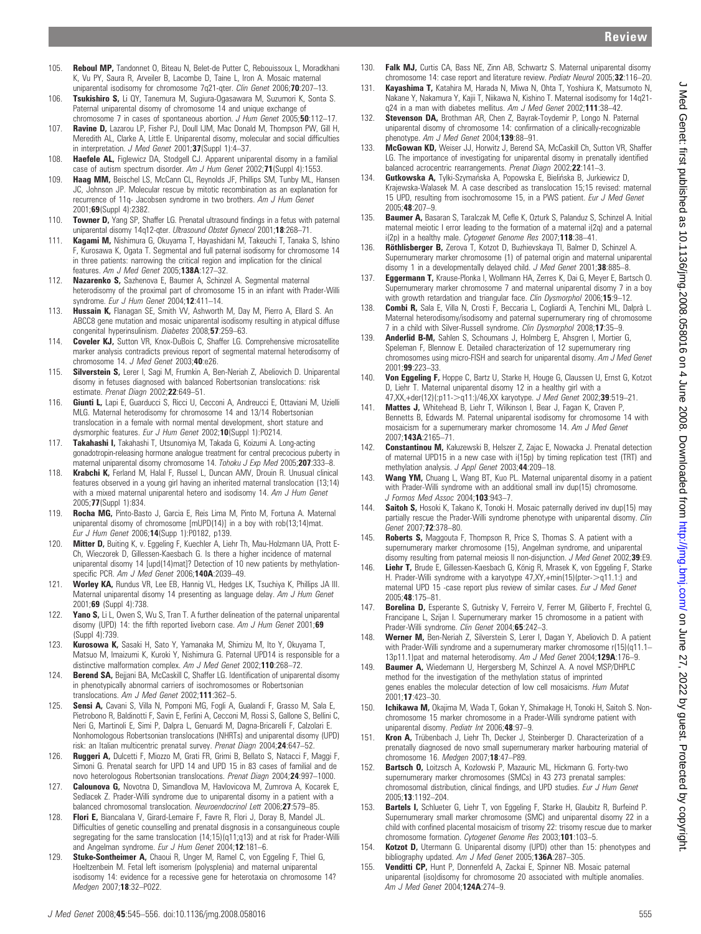- 105. Reboul MP, Tandonnet O, Biteau N, Belet-de Putter C, Rebouissoux L, Moradkhani K, Vu PY, Saura R, Arveiler B, Lacombe D, Taine L, Iron A. Mosaic maternal uniparental isodisomy for chromosome  $7q21$ -gter. Clin Genet 2006; $70$ :207–13.
- 106. Tsukishiro S, Li QY, Tanemura M, Sugiura-Ogasawara M, Suzumori K, Sonta S. Paternal uniparental disomy of chromosome 14 and unique exchange of chromosome 7 in cases of spontaneous abortion. J Hum Genet 2005;50:112-17.
- 107. Ravine D, Lazarou LP, Fisher PJ, Doull IJM, Mac Donald M, Thompson PW, Gill H, Meredith AL, Clarke A, Little E. Uniparental disomy, molecular and social difficulties in interpretation. J Med Genet 2001;37(Suppl 1):4-37.
- 108. **Haefele AL,** Figlewicz DA, Stodgell CJ. Apparent uniparental disomy in a familial case of autism spectrum disorder. Am J Hum Genet 2002;71(Suppl 4):1553.
- 109. Haag MM, Beischel LS, McCann CL, Reynolds JF, Phillips SM, Tunby ML, Hansen JC, Johnson JP. Molecular rescue by mitotic recombination as an explanation for recurrence of 11q- Jacobsen syndrome in two brothers. Am J Hum Genet 2001;69(Suppl 4):2382.
- 110. Towner D, Yang SP, Shaffer LG. Prenatal ultrasound findings in a fetus with paternal uniparental disomy 14q12-qter. Ultrasound Obstet Gynecol 2001;18:268-71.
- 111. **Kagami M, Nishimura G, Okuyama T, Hayashidani M, Takeuchi T, Tanaka S, Ishino** F, Kurosawa K, Ogata T. Segmental and full paternal isodisomy for chromosome 14 in three patients: narrowing the critical region and implication for the clinical features. Am J Med Genet 2005;138A:127–32.
- 112. Nazarenko S, Sazhenova E, Baumer A, Schinzel A. Segmental maternal heterodisomy of the proximal part of chromosome 15 in an infant with Prader-Willi syndrome. Eur J Hum Genet 2004;12:411-14.
- 113. Hussain K, Flanagan SE, Smith W, Ashworth M, Day M, Pierro A, Ellard S. An ABCC8 gene mutation and mosaic uniparental isodisomy resulting in atypical diffuse congenital hyperinsulinism. Diabetes 2008;57:259-63.
- 114. **Coveler KJ,** Sutton VR, Knox-DuBois C, Shaffer LG. Comprehensive microsatellite marker analysis contradicts previous report of segmental maternal heterodisomy of chromosome 14. J Med Genet 2003;40:e26.
- 115. Silverstein S, Lerer I, Sagi M, Frumkin A, Ben-Neriah Z, Abeliovich D. Uniparental disomy in fetuses diagnosed with balanced Robertsonian translocations: risk estimate. Prenat Diagn 2002;22:649-51.
- 116. Giunti L, Lapi E, Guarducci S, Ricci U, Cecconi A, Andreucci E, Ottaviani M, Uzielli MLG. Maternal heterodisomy for chromosome 14 and 13/14 Robertsonian translocation in a female with normal mental development, short stature and dysmorphic features. Eur J Hum Genet 2002;10(Suppl 1):P0214.
- 117. Takahashi I, Takahashi T, Utsunomiya M, Takada G, Koizumi A. Long-acting gonadotropin-releasing hormone analogue treatment for central precocious puberty in maternal uniparental disomy chromosome 14. Tohoku J Exp Med 2005;207:333-8.
- 118. Krabchi K, Ferland M, Halal F, Russel L, Duncan AMV, Drouin R. Unusual clinical features observed in a young girl having an inherited maternal translocation (13;14) with a mixed maternal uniparental hetero and isodisomy 14. Am J Hum Genet 2005;77(Suppl 1):834.
- 119. Rocha MG, Pinto-Basto J, Garcia E, Reis Lima M, Pinto M, Fortuna A. Maternal uniparental disomy of chromosome [mUPD(14)] in a boy with rob(13;14)mat. Eur J Hum Genet 2006;14(Supp 1):P0182, p139.
- 120. Mitter D, Buiting K, v. Eggeling F, Kuechler A, Liehr Th, Mau-Holzmann UA, Prott E-Ch, Wieczorek D, Gillessen-Kaesbach G. Is there a higher incidence of maternal uniparental disomy 14 [upd(14)mat]? Detection of 10 new patients by methylationspecific PCR. Am J Med Genet 2006:140A:2039-49.
- 121. Worley KA, Rundus VR, Lee EB, Hannig VL, Hedges LK, Tsuchiya K, Phillips JA III. Maternal uniparental disomy 14 presenting as language delay. Am J Hum Genet 2001;69 (Suppl 4):738.
- 122. Yano S, Li L, Owen S, Wu S, Tran T. A further delineation of the paternal uniparental disomy (UPD) 14: the fifth reported liveborn case. Am  $J$  Hum Genet 2001;69 (Suppl 4):739.
- 123. Kurosowa K, Sasaki H, Sato Y, Yamanaka M, Shimizu M, Ito Y, Okuyama T, Matsuo M, Imaizumi K, Kuroki Y, Nishimura G. Paternal UPD14 is responsible for a distinctive malformation complex. Am J Med Genet 2002;110:268-72.
- 124. **Berend SA, Bejjani BA, McCaskill C, Shaffer LG. Identification of uniparental disomy** in phenotypically abnormal carriers of isochromosomes or Robertsonian translocations. Am J Med Genet 2002;111:362–5.
- 125. Sensi A, Cavani S, Villa N, Pomponi MG, Fogli A, Gualandi F, Grasso M, Sala E, Pietrobono R, Baldinotti F, Savin E, Ferlini A, Cecconi M, Rossi S, Gallone S, Bellini C, Neri G, Martinoli E, Simi P, Dalpra L, Genuardi M, Dagna-Bricarelli F, Calzolari E. Nonhomologous Robertsonian translocations (NHRTs) and uniparental disomy (UPD) risk: an Italian multicentric prenatal survey. Prenat Diagn 2004;24:647-52.
- 126. Ruggeri A, Dulcetti F, Miozzo M, Grati FR, Grimi B, Bellato S, Natacci F, Maggi F, Simoni G. Prenatal search for UPD 14 and UPD 15 in 83 cases of familial and de novo heterologous Robertsonian translocations. Prenat Diagn 2004;24:997–1000.
- 127. Calounova G, Novotna D, Simandlova M, Havlovicova M, Zumrova A, Kocarek E, Sedlacek Z. Prader-Willi syndrome due to uniparental disomy in a patient with a balanced chromosomal translocation. Neuroendocrinol Lett 2006;27:579–85.
- 128. Flori E, Biancalana V, Girard-Lemaire F, Favre R, Flori J, Doray B, Mandel JL. Difficulties of genetic counselling and prenatal disgnosis in a consanguineous couple segregating for the same translocation  $(14;15)(q11;q13)$  and at risk for Prader-Willi and Angelman syndrome. Eur J Hum Genet 2004;12:181–6.
- 129. Stuke-Sontheimer A, Chaoui R, Unger M, Ramel C, von Eggeling F, Thiel G, Hoeltzenbein M. Fetal left isomerism (polysplenia) and maternal uniparental isodisomy 14: evidence for a recessive gene for heterotaxia on chromosome 14? Medgen 2007;18:32–P022.
- 130. Falk MJ, Curtis CA, Bass NE, Zinn AB, Schwartz S. Maternal uniparental disomy chromosome 14: case report and literature review. Pediatr Neurol 2005;32:116-20.
- 131. **Kayashima T,** Katahira M, Harada N, Miwa N, Ohta T, Yoshiura K, Matsumoto N, Nakane Y, Nakamura Y, Kajii T, Niikawa N, Kishino T. Maternal isodisomy for 14n21q24 in a man with diabetes mellitus. Am J Med Genet 2002;111:38-42.
- 132. Stevenson DA, Brothman AR, Chen Z, Bayrak-Toydemir P, Longo N. Paternal uniparental disomy of chromosome 14: confirmation of a clinically-recognizable phenotype. Am J Med Genet 2004;139:88-91.
- 133. McGowan KD, Weiser JJ, Horwitz J, Berend SA, McCaskill Ch, Sutton VR, Shaffer LG. The importance of investigating for uniparental disomy in prenatally identified balanced acrocentric rearrangements. Prenat Diagn 2002;22:141-3.
- 134. Gutkowska A, Tylki-Szymańska A, Popowska E, Bielińska B, Jurkiewicz D, Krajewska-Walasek M. A case described as translocation 15;15 revised: maternal 15 UPD, resulting from isochromosome 15, in a PWS patient. Eur J Med Genet 2005;48:207–9.
- 135. Baumer A, Basaran S, Taralczak M, Cefle K, Ozturk S, Palanduz S, Schinzel A. Initial maternal meiotic I error leading to the formation of a maternal i(2q) and a paternal i(2p) in a healthy male. Cytogenet Genome Res 2007;118:38–41.
- 136. Röthlisberger B, Zerova T, Kotzot D, Buzhievskaya TI, Balmer D, Schinzel A. Supernumerary marker chromosome (1) of paternal origin and maternal uniparental disomy 1 in a developmentally delayed child. J Med Genet 2001;38:885-8.
- 137. **Eggermann T, Krause-Plonka I, Wollmann HA, Zerres K, Dai G, Meyer E, Bartsch O,** Supernumerary marker chromosome 7 and maternal uniparental disomy 7 in a boy with growth retardation and triangular face. Clin Dysmorphol 2006;15:9-12.
- 138. Combi R, Sala E, Villa N, Crosti F, Beccaria L, Cogliardi A, Tenchini ML, Dalprà L. Maternal heterodisomy/isodisomy and paternal supernumerary ring of chromosome 7 in a child with Silver-Russell syndrome. Clin Dysmorphol 2008;17:35–9.
- 139. Anderlid B-M, Sahlen S, Schoumans J, Holmberg E, Ahsgren I, Mortier G, Speleman F, Blennow E. Detailed characterization of 12 supernumerary ring chromosomes using micro-FISH and search for uniparental disomy. Am J Med Genet 2001;99:223–33.
- 140. Von Eggeling F, Hoppe C, Bartz U, Starke H, Houge G, Claussen U, Ernst G, Kotzot D, Liehr T. Maternal uniparental disomy 12 in a healthy girl with a 47, XX, +der(12)(:p11->q11:)/46, XX karyotype. J Med Genet 2002; 39:519-21.
- 141. **Mattes J,** Whitehead B, Liehr T, Wilkinson I, Bear J, Fagan K, Craven P Bennetts B, Edwards M. Paternal uniparental isodisomy for chromosome 14 with mosaicism for a supernumerary marker chromosome 14. Am J Med Genet 2007;143A:2165–71.
- 142. Constantinou M, Kałuzewski B, Helszer Z, Zajac E, Nowacka J. Prenatal detection of maternal UPD15 in a new case with i(15p) by timing replication test (TRT) and methylation analysis. J Appl Genet 2003;44:209-18.
- 143. Wang YM, Chuang L, Wang BT, Kuo PL. Maternal uniparental disomy in a patient with Prader-Willi syndrome with an additional small inv dup(15) chromosome. J Formos Med Assoc 2004;103:943-7.
- 144. Saitoh S, Hosoki K, Takano K, Tonoki H. Mosaic paternally derived inv dup(15) may partially rescue the Prader-Willi syndrome phenotype with uniparental disomy. Clin Genet 2007;72:378–80.
- 145. Roberts S, Maggouta F, Thompson R, Price S, Thomas S. A patient with a supernumerary marker chromosome (15), Angelman syndrome, and uniparental disomy resulting from paternal meiosis II non-disjunction. J Med Genet 2002;39:E9.
- 146. Liehr T, Brude E, Gillessen-Kaesbach G, König R, Mrasek K, von Eggeling F, Starke H. Prader-Willi syndrome with a karyotype 47, XY, +min(15) (pter->q11.1:) and maternal UPD 15 -case report plus review of similar cases. Eur J Med Genet 2005;48:175–81.
- 147. **Borelina D,** Esperante S, Gutnisky V, Ferreiro V, Ferrer M, Giliberto F, Frechtel G, Francipane L, Szijan I. Supernumerary marker 15 chromosome in a patient with Prader-Willi syndrome. Clin Genet 2004;65:242-3.
- 148. Werner M, Ben-Neriah Z, Silverstein S, Lerer I, Dagan Y, Abeliovich D. A patient with Prader-Willi syndrome and a supernumerary marker chromosome r(15)(q11.1– 13p11.1)pat and maternal heterodisomy. Am J Med Genet 2004;129A:176–9.
- 149. Baumer A, Wiedemann U, Hergersberg M, Schinzel A. A novel MSP/DHPLC method for the investigation of the methylation status of imprinted genes enables the molecular detection of low cell mosaicisms. Hum Mutat 2001;17:423–30.
- 150. Ichikawa M, Okajima M, Wada T, Gokan Y, Shimakage H, Tonoki H, Saitoh S. Nonchromosome 15 marker chromosome in a Prader-Willi syndrome patient with uniparental disomy. Pediatr Int 2006;48:97-9.
- 151. Kron A, Trübenbach J, Liehr Th, Decker J, Steinberger D. Characterization of a prenatally diagnosed de novo small supernumerary marker harbouring material of chromosome 16. Medgen 2007;18:47–P89.
- 152. Bartsch O, Loitzsch A, Kozlowski P, Mazauric ML, Hickmann G. Forty-two supernumerary marker chromosomes (SMCs) in 43 273 prenatal samples: chromosomal distribution, clinical findings, and UPD studies. Eur J Hum Genet 2005;13:1192–204.
- 153. Bartels I, Schlueter G, Liehr T, von Eggeling F, Starke H, Glaubitz R, Burfeind P. Supernumerary small marker chromosome (SMC) and uniparental disomy 22 in a child with confined placental mosaicism of trisomy 22: trisomy rescue due to marker chromosome formation. Cytogenet Genome Res 2003;101:103–5.
- 154. **Kotzot D,** Utermann G. Uniparental disomy (UPD) other than 15: phenotypes and bibliography updated. Am J Med Genet 2005;136A:287-305.
- 155. Venditti CP, Hunt P, Donnenfeld A, Zackai E, Spinner NB. Mosaic paternal uniparental (iso)disomy for chromosome 20 associated with multiple anomalies. Am J Med Genet 2004;124A:274–9.